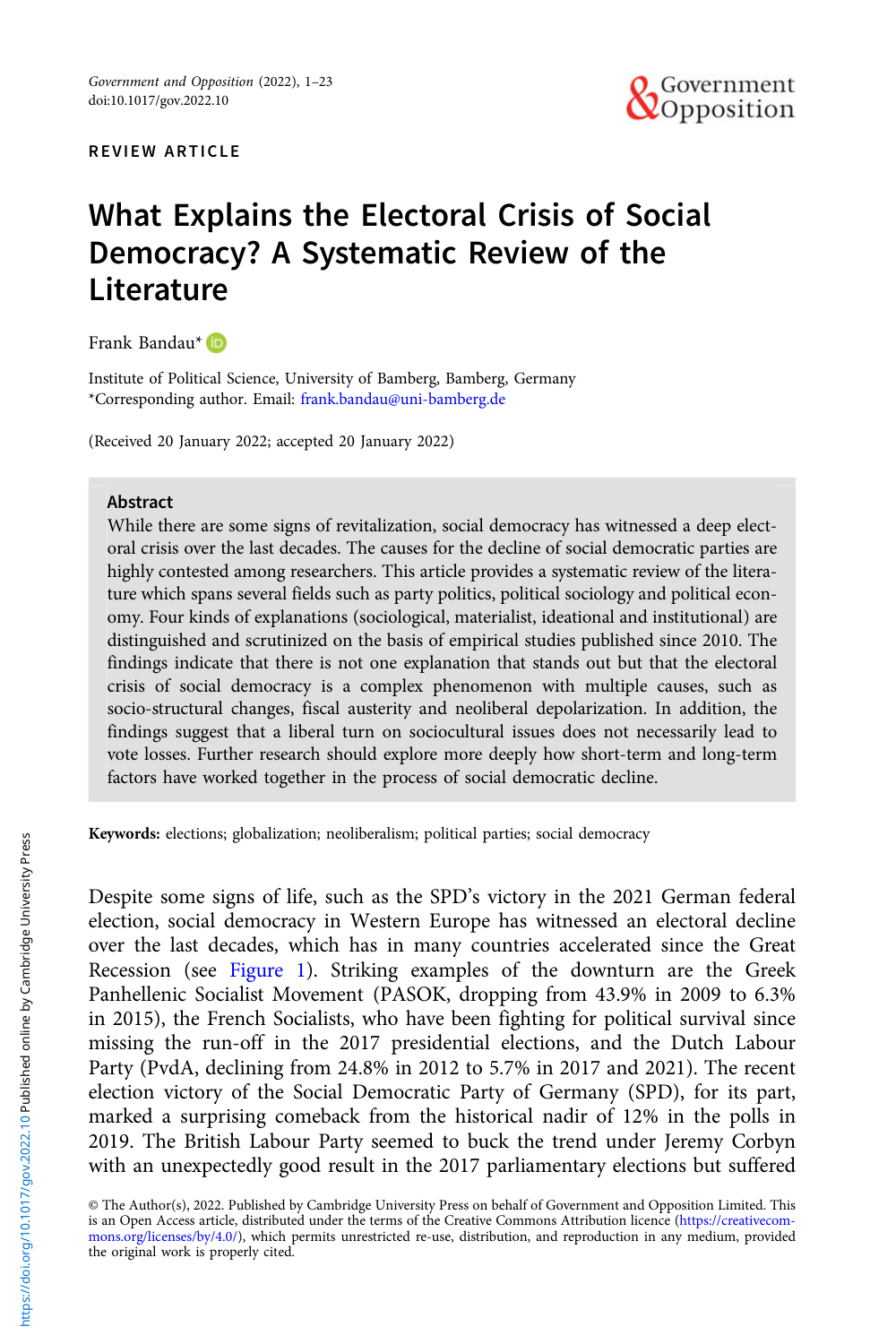

# What Explains the Electoral Crisis of Social Democracy? A Systematic Review of the **Literature**

Frank Bandau\*

Institute of Political Science, University of Bamberg, Bamberg, Germany \*Corresponding author. Email: [frank.bandau@uni-bamberg.de](mailto:frank.bandau@uni-bamberg.de)

(Received 20 January 2022; accepted 20 January 2022)

### Abstract

While there are some signs of revitalization, social democracy has witnessed a deep electoral crisis over the last decades. The causes for the decline of social democratic parties are highly contested among researchers. This article provides a systematic review of the literature which spans several fields such as party politics, political sociology and political economy. Four kinds of explanations (sociological, materialist, ideational and institutional) are distinguished and scrutinized on the basis of empirical studies published since 2010. The findings indicate that there is not one explanation that stands out but that the electoral crisis of social democracy is a complex phenomenon with multiple causes, such as socio-structural changes, fiscal austerity and neoliberal depolarization. In addition, the findings suggest that a liberal turn on sociocultural issues does not necessarily lead to vote losses. Further research should explore more deeply how short-term and long-term factors have worked together in the process of social democratic decline.

Keywords: elections; globalization; neoliberalism; political parties; social democracy

Despite some signs of life, such as the SPD's victory in the 2021 German federal election, social democracy in Western Europe has witnessed an electoral decline over the last decades, which has in many countries accelerated since the Great Recession (see [Figure 1](#page-1-0)). Striking examples of the downturn are the Greek Panhellenic Socialist Movement (PASOK, dropping from 43.9% in 2009 to 6.3% in 2015), the French Socialists, who have been fighting for political survival since missing the run-off in the 2017 presidential elections, and the Dutch Labour Party (PvdA, declining from 24.8% in 2012 to 5.7% in 2017 and 2021). The recent election victory of the Social Democratic Party of Germany (SPD), for its part, marked a surprising comeback from the historical nadir of 12% in the polls in 2019. The British Labour Party seemed to buck the trend under Jeremy Corbyn with an unexpectedly good result in the 2017 parliamentary elections but suffered

© The Author(s), 2022. Published by Cambridge University Press on behalf of Government and Opposition Limited. This is an Open Access article, distributed under the terms of the Creative Commons Attribution licence ([https://creativecom](https://creativecommons.org/licenses/by/4.0/)[mons.org/licenses/by/4.0/](https://creativecommons.org/licenses/by/4.0/)), which permits unrestricted re-use, distribution, and reproduction in any medium, provided the original work is properly cited.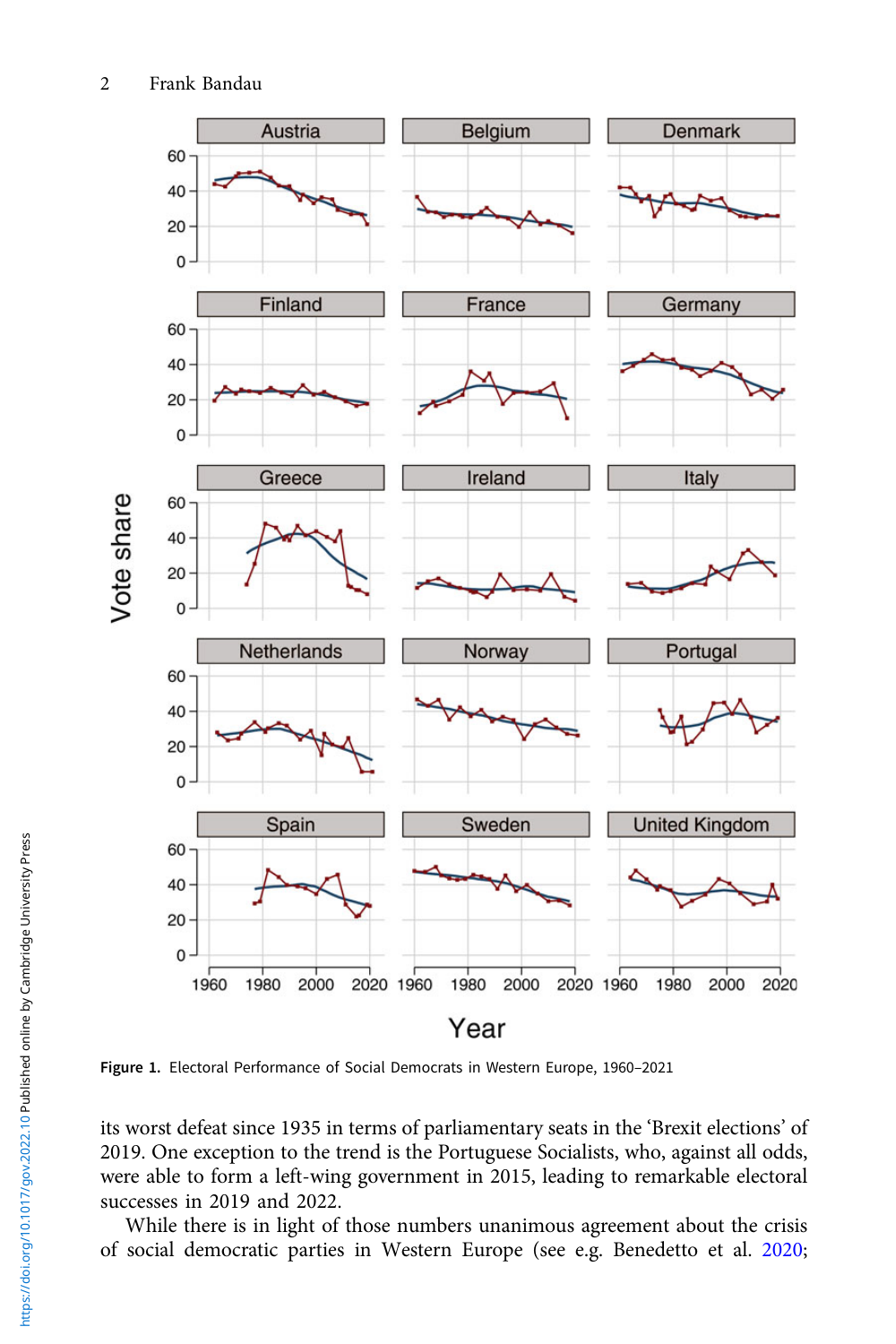<span id="page-1-0"></span>

Figure 1. Electoral Performance of Social Democrats in Western Europe, 1960–2021

its worst defeat since 1935 in terms of parliamentary seats in the 'Brexit elections' of 2019. One exception to the trend is the Portuguese Socialists, who, against all odds, were able to form a left-wing government in 2015, leading to remarkable electoral successes in 2019 and 2022.

While there is in light of those numbers unanimous agreement about the crisis of social democratic parties in Western Europe (see e.g. Benedetto et al. [2020](#page-17-0);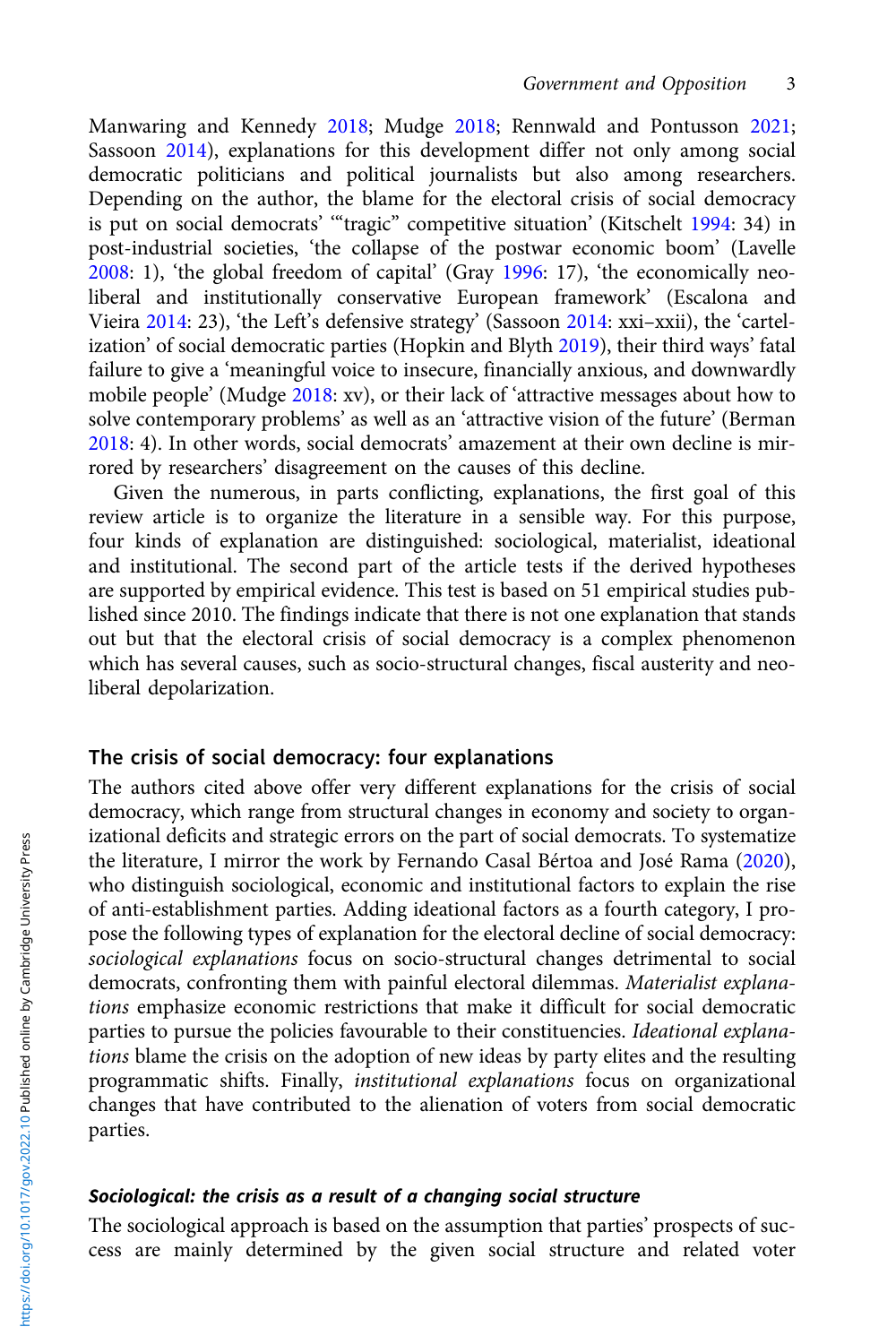Manwaring and Kennedy [2018](#page-20-0); Mudge [2018](#page-20-0); Rennwald and Pontusson [2021](#page-21-0); Sassoon [2014](#page-21-0)), explanations for this development differ not only among social democratic politicians and political journalists but also among researchers. Depending on the author, the blame for the electoral crisis of social democracy is put on social democrats' '"tragic" competitive situation' (Kitschelt [1994](#page-19-0): 34) in post-industrial societies, 'the collapse of the postwar economic boom' (Lavelle  $2008:$  $2008:$  1), 'the global freedom of capital' (Gray [1996](#page-18-0): 17), 'the economically neoliberal and institutionally conservative European framework' (Escalona and Vieira [2014:](#page-18-0) 23), 'the Left's defensive strategy' (Sassoon [2014](#page-21-0): xxi–xxii), the 'cartelization' of social democratic parties (Hopkin and Blyth [2019](#page-19-0)), their third ways' fatal failure to give a 'meaningful voice to insecure, financially anxious, and downwardly mobile people' (Mudge [2018](#page-20-0): xv), or their lack of 'attractive messages about how to solve contemporary problems' as well as an 'attractive vision of the future' (Berman [2018](#page-17-0): 4). In other words, social democrats' amazement at their own decline is mirrored by researchers' disagreement on the causes of this decline.

Given the numerous, in parts conflicting, explanations, the first goal of this review article is to organize the literature in a sensible way. For this purpose, four kinds of explanation are distinguished: sociological, materialist, ideational and institutional. The second part of the article tests if the derived hypotheses are supported by empirical evidence. This test is based on 51 empirical studies published since 2010. The findings indicate that there is not one explanation that stands out but that the electoral crisis of social democracy is a complex phenomenon which has several causes, such as socio-structural changes, fiscal austerity and neoliberal depolarization.

# The crisis of social democracy: four explanations

The authors cited above offer very different explanations for the crisis of social democracy, which range from structural changes in economy and society to organizational deficits and strategic errors on the part of social democrats. To systematize the literature, I mirror the work by Fernando Casal Bértoa and José Rama [\(2020\)](#page-17-0), who distinguish sociological, economic and institutional factors to explain the rise of anti-establishment parties. Adding ideational factors as a fourth category, I propose the following types of explanation for the electoral decline of social democracy: sociological explanations focus on socio-structural changes detrimental to social democrats, confronting them with painful electoral dilemmas. Materialist explanations emphasize economic restrictions that make it difficult for social democratic parties to pursue the policies favourable to their constituencies. Ideational explanations blame the crisis on the adoption of new ideas by party elites and the resulting programmatic shifts. Finally, institutional explanations focus on organizational changes that have contributed to the alienation of voters from social democratic parties.

### Sociological: the crisis as a result of a changing social structure

The sociological approach is based on the assumption that parties' prospects of success are mainly determined by the given social structure and related voter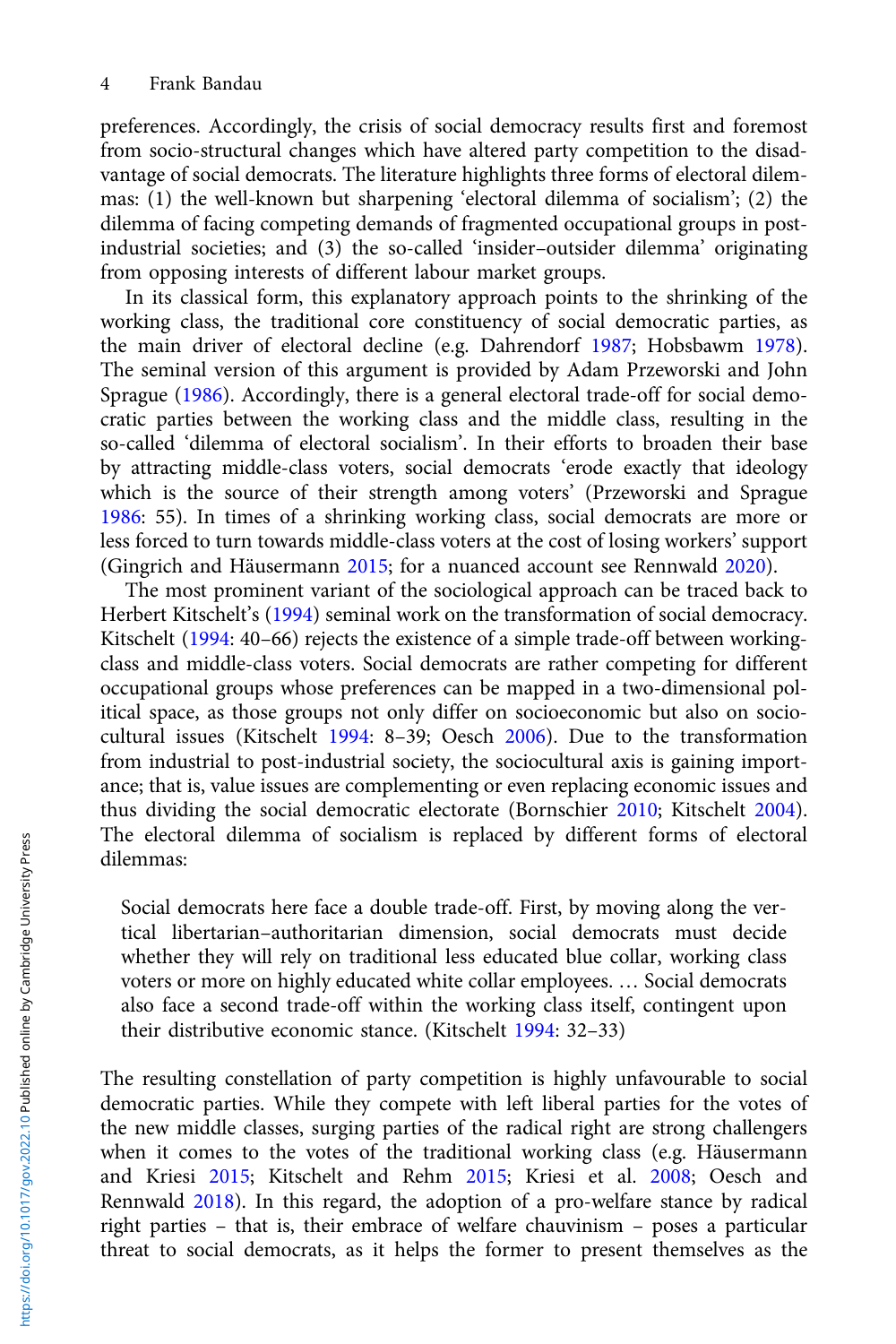preferences. Accordingly, the crisis of social democracy results first and foremost from socio-structural changes which have altered party competition to the disadvantage of social democrats. The literature highlights three forms of electoral dilemmas: (1) the well-known but sharpening 'electoral dilemma of socialism'; (2) the dilemma of facing competing demands of fragmented occupational groups in postindustrial societies; and (3) the so-called 'insider–outsider dilemma' originating from opposing interests of different labour market groups.

In its classical form, this explanatory approach points to the shrinking of the working class, the traditional core constituency of social democratic parties, as the main driver of electoral decline (e.g. Dahrendorf [1987;](#page-18-0) Hobsbawm [1978\)](#page-19-0). The seminal version of this argument is provided by Adam Przeworski and John Sprague [\(1986](#page-21-0)). Accordingly, there is a general electoral trade-off for social democratic parties between the working class and the middle class, resulting in the so-called 'dilemma of electoral socialism'. In their efforts to broaden their base by attracting middle-class voters, social democrats 'erode exactly that ideology which is the source of their strength among voters' (Przeworski and Sprague [1986:](#page-21-0) 55). In times of a shrinking working class, social democrats are more or less forced to turn towards middle-class voters at the cost of losing workers' support (Gingrich and Häusermann [2015;](#page-18-0) for a nuanced account see Rennwald [2020](#page-21-0)).

The most prominent variant of the sociological approach can be traced back to Herbert Kitschelt's ([1994](#page-19-0)) seminal work on the transformation of social democracy. Kitschelt ([1994](#page-19-0): 40–66) rejects the existence of a simple trade-off between workingclass and middle-class voters. Social democrats are rather competing for different occupational groups whose preferences can be mapped in a two-dimensional political space, as those groups not only differ on socioeconomic but also on sociocultural issues (Kitschelt [1994:](#page-19-0) 8–39; Oesch [2006](#page-20-0)). Due to the transformation from industrial to post-industrial society, the sociocultural axis is gaining importance; that is, value issues are complementing or even replacing economic issues and thus dividing the social democratic electorate (Bornschier [2010](#page-17-0); Kitschelt [2004\)](#page-19-0). The electoral dilemma of socialism is replaced by different forms of electoral dilemmas:

Social democrats here face a double trade-off. First, by moving along the vertical libertarian–authoritarian dimension, social democrats must decide whether they will rely on traditional less educated blue collar, working class voters or more on highly educated white collar employees. … Social democrats also face a second trade-off within the working class itself, contingent upon their distributive economic stance. (Kitschelt [1994:](#page-19-0) 32–33)

The resulting constellation of party competition is highly unfavourable to social democratic parties. While they compete with left liberal parties for the votes of the new middle classes, surging parties of the radical right are strong challengers when it comes to the votes of the traditional working class (e.g. Häusermann and Kriesi [2015](#page-19-0); Kitschelt and Rehm [2015;](#page-19-0) Kriesi et al. [2008](#page-19-0); Oesch and Rennwald [2018\)](#page-20-0). In this regard, the adoption of a pro-welfare stance by radical right parties – that is, their embrace of welfare chauvinism – poses a particular threat to social democrats, as it helps the former to present themselves as the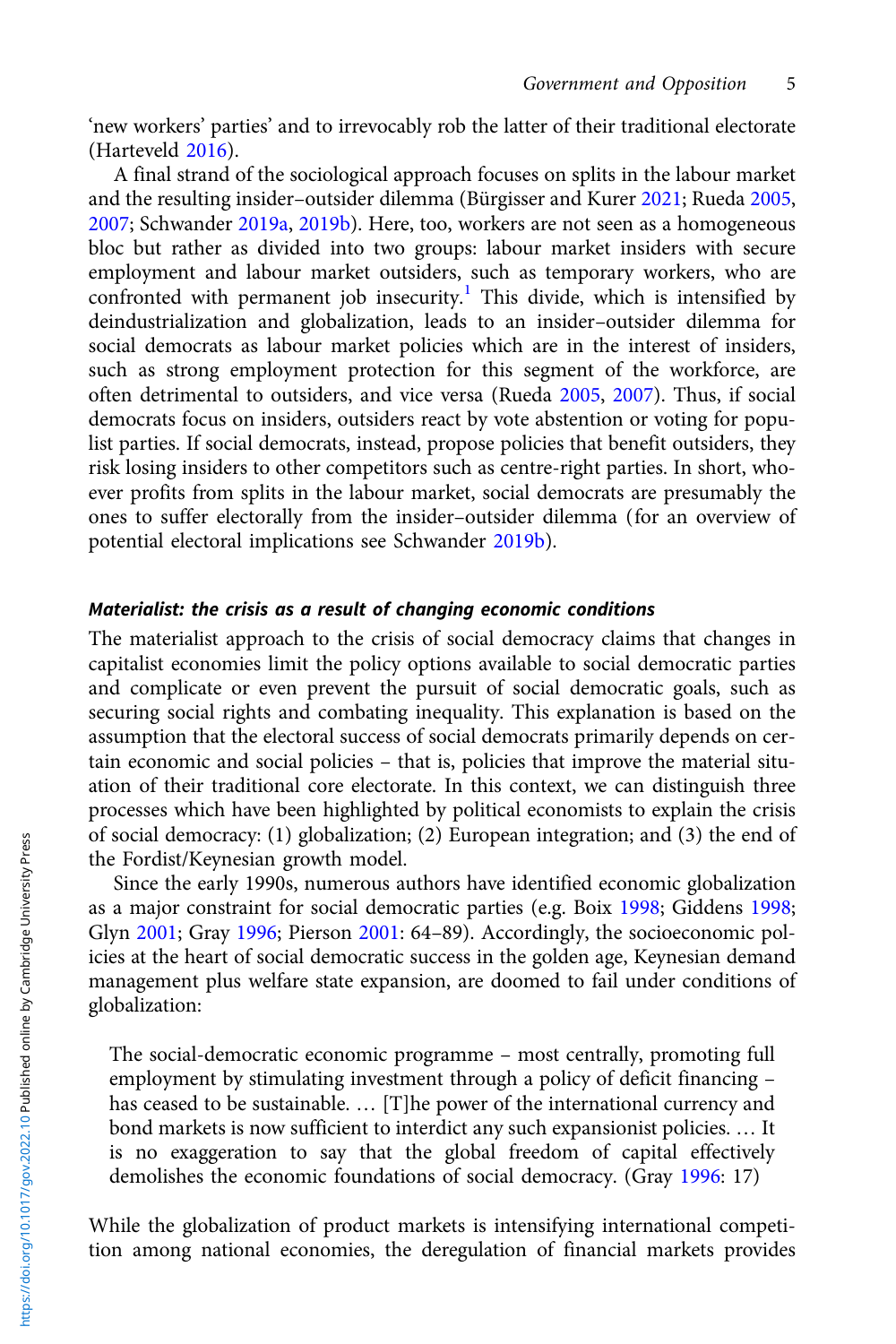'new workers' parties' and to irrevocably rob the latter of their traditional electorate (Harteveld [2016](#page-19-0)).

A final strand of the sociological approach focuses on splits in the labour market and the resulting insider–outsider dilemma (Bürgisser and Kurer [2021;](#page-17-0) Rueda [2005](#page-21-0), [2007](#page-21-0); Schwander [2019a,](#page-21-0) [2019b](#page-21-0)). Here, too, workers are not seen as a homogeneous bloc but rather as divided into two groups: labour market insiders with secure employment and labour market outsiders, such as temporary workers, who are confronted with permanent job insecurity.<sup>[1](#page-16-0)</sup> This divide, which is intensified by deindustrialization and globalization, leads to an insider–outsider dilemma for social democrats as labour market policies which are in the interest of insiders, such as strong employment protection for this segment of the workforce, are often detrimental to outsiders, and vice versa (Rueda [2005,](#page-21-0) [2007](#page-21-0)). Thus, if social democrats focus on insiders, outsiders react by vote abstention or voting for populist parties. If social democrats, instead, propose policies that benefit outsiders, they risk losing insiders to other competitors such as centre-right parties. In short, whoever profits from splits in the labour market, social democrats are presumably the ones to suffer electorally from the insider–outsider dilemma (for an overview of potential electoral implications see Schwander [2019b](#page-21-0)).

### Materialist: the crisis as a result of changing economic conditions

The materialist approach to the crisis of social democracy claims that changes in capitalist economies limit the policy options available to social democratic parties and complicate or even prevent the pursuit of social democratic goals, such as securing social rights and combating inequality. This explanation is based on the assumption that the electoral success of social democrats primarily depends on certain economic and social policies – that is, policies that improve the material situation of their traditional core electorate. In this context, we can distinguish three processes which have been highlighted by political economists to explain the crisis of social democracy: (1) globalization; (2) European integration; and (3) the end of the Fordist/Keynesian growth model.

Since the early 1990s, numerous authors have identified economic globalization as a major constraint for social democratic parties (e.g. Boix [1998](#page-17-0); Giddens [1998](#page-18-0); Glyn [2001](#page-18-0); Gray [1996](#page-18-0); Pierson [2001](#page-20-0): 64–89). Accordingly, the socioeconomic policies at the heart of social democratic success in the golden age, Keynesian demand management plus welfare state expansion, are doomed to fail under conditions of globalization:

The social-democratic economic programme – most centrally, promoting full employment by stimulating investment through a policy of deficit financing – has ceased to be sustainable. … [T]he power of the international currency and bond markets is now sufficient to interdict any such expansionist policies. … It is no exaggeration to say that the global freedom of capital effectively demolishes the economic foundations of social democracy. (Gray [1996:](#page-18-0) 17)

While the globalization of product markets is intensifying international competition among national economies, the deregulation of financial markets provides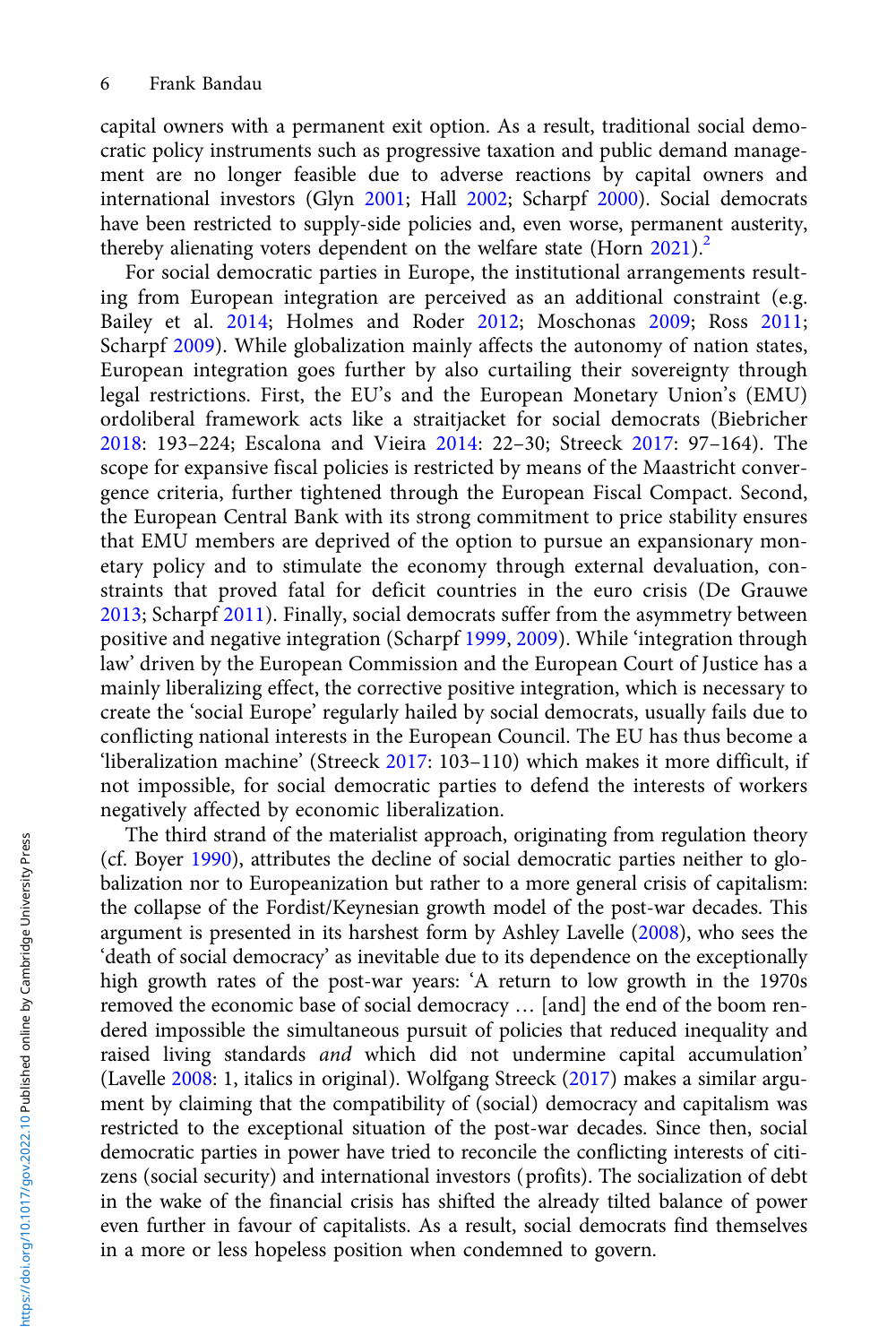capital owners with a permanent exit option. As a result, traditional social democratic policy instruments such as progressive taxation and public demand management are no longer feasible due to adverse reactions by capital owners and international investors (Glyn [2001](#page-18-0); Hall [2002](#page-19-0); Scharpf [2000\)](#page-21-0). Social democrats have been restricted to supply-side policies and, even worse, permanent austerity, thereby alienating voters dependent on the welfare state (Horn  $2021$ ).<sup>2</sup>

For social democratic parties in Europe, the institutional arrangements resulting from European integration are perceived as an additional constraint (e.g. Bailey et al. [2014](#page-17-0); Holmes and Roder [2012;](#page-19-0) Moschonas [2009](#page-20-0); Ross [2011](#page-21-0); Scharpf [2009](#page-21-0)). While globalization mainly affects the autonomy of nation states, European integration goes further by also curtailing their sovereignty through legal restrictions. First, the EU's and the European Monetary Union's (EMU) ordoliberal framework acts like a straitjacket for social democrats (Biebricher [2018](#page-17-0): 193–224; Escalona and Vieira [2014:](#page-18-0) 22–30; Streeck [2017](#page-21-0): 97–164). The scope for expansive fiscal policies is restricted by means of the Maastricht convergence criteria, further tightened through the European Fiscal Compact. Second, the European Central Bank with its strong commitment to price stability ensures that EMU members are deprived of the option to pursue an expansionary monetary policy and to stimulate the economy through external devaluation, constraints that proved fatal for deficit countries in the euro crisis (De Grauwe [2013](#page-18-0); Scharpf [2011\)](#page-21-0). Finally, social democrats suffer from the asymmetry between positive and negative integration (Scharpf [1999,](#page-21-0) [2009](#page-21-0)). While 'integration through law' driven by the European Commission and the European Court of Justice has a mainly liberalizing effect, the corrective positive integration, which is necessary to create the 'social Europe' regularly hailed by social democrats, usually fails due to conflicting national interests in the European Council. The EU has thus become a 'liberalization machine' (Streeck [2017:](#page-21-0) 103–110) which makes it more difficult, if not impossible, for social democratic parties to defend the interests of workers negatively affected by economic liberalization.

The third strand of the materialist approach, originating from regulation theory (cf. Boyer [1990](#page-17-0)), attributes the decline of social democratic parties neither to globalization nor to Europeanization but rather to a more general crisis of capitalism: the collapse of the Fordist/Keynesian growth model of the post-war decades. This argument is presented in its harshest form by Ashley Lavelle ([2008\)](#page-19-0), who sees the 'death of social democracy' as inevitable due to its dependence on the exceptionally high growth rates of the post-war years: 'A return to low growth in the 1970s removed the economic base of social democracy … [and] the end of the boom rendered impossible the simultaneous pursuit of policies that reduced inequality and raised living standards and which did not undermine capital accumulation' (Lavelle [2008](#page-19-0): 1, italics in original). Wolfgang Streeck ([2017](#page-21-0)) makes a similar argument by claiming that the compatibility of (social) democracy and capitalism was restricted to the exceptional situation of the post-war decades. Since then, social democratic parties in power have tried to reconcile the conflicting interests of citizens (social security) and international investors (profits). The socialization of debt in the wake of the financial crisis has shifted the already tilted balance of power even further in favour of capitalists. As a result, social democrats find themselves in a more or less hopeless position when condemned to govern.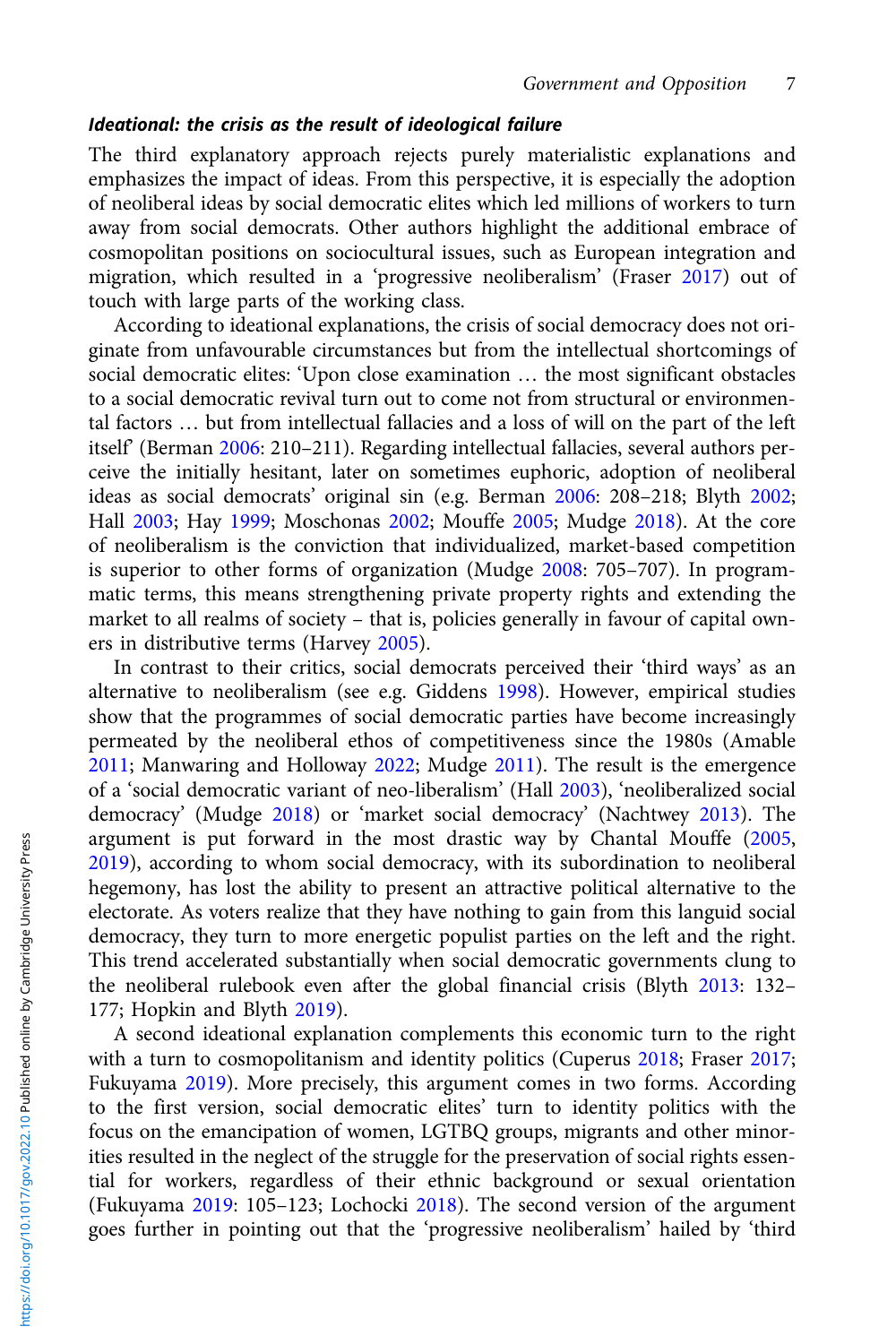# Ideational: the crisis as the result of ideological failure

The third explanatory approach rejects purely materialistic explanations and emphasizes the impact of ideas. From this perspective, it is especially the adoption of neoliberal ideas by social democratic elites which led millions of workers to turn away from social democrats. Other authors highlight the additional embrace of cosmopolitan positions on sociocultural issues, such as European integration and migration, which resulted in a 'progressive neoliberalism' (Fraser [2017](#page-18-0)) out of touch with large parts of the working class.

According to ideational explanations, the crisis of social democracy does not originate from unfavourable circumstances but from the intellectual shortcomings of social democratic elites: 'Upon close examination … the most significant obstacles to a social democratic revival turn out to come not from structural or environmental factors … but from intellectual fallacies and a loss of will on the part of the left itself' (Berman [2006](#page-17-0): 210–211). Regarding intellectual fallacies, several authors perceive the initially hesitant, later on sometimes euphoric, adoption of neoliberal ideas as social democrats' original sin (e.g. Berman [2006](#page-17-0): 208–218; Blyth [2002](#page-17-0); Hall [2003;](#page-19-0) Hay [1999](#page-19-0); Moschonas [2002;](#page-20-0) Mouffe [2005](#page-20-0); Mudge [2018\)](#page-20-0). At the core of neoliberalism is the conviction that individualized, market-based competition is superior to other forms of organization (Mudge [2008](#page-20-0): 705–707). In programmatic terms, this means strengthening private property rights and extending the market to all realms of society – that is, policies generally in favour of capital owners in distributive terms (Harvey [2005](#page-19-0)).

In contrast to their critics, social democrats perceived their 'third ways' as an alternative to neoliberalism (see e.g. Giddens [1998\)](#page-18-0). However, empirical studies show that the programmes of social democratic parties have become increasingly permeated by the neoliberal ethos of competitiveness since the 1980s (Amable [2011](#page-17-0); Manwaring and Holloway [2022;](#page-20-0) Mudge [2011](#page-20-0)). The result is the emergence of a 'social democratic variant of neo-liberalism' (Hall [2003\)](#page-19-0), 'neoliberalized social democracy' (Mudge [2018\)](#page-20-0) or 'market social democracy' (Nachtwey [2013\)](#page-20-0). The argument is put forward in the most drastic way by Chantal Mouffe ([2005](#page-20-0), [2019](#page-20-0)), according to whom social democracy, with its subordination to neoliberal hegemony, has lost the ability to present an attractive political alternative to the electorate. As voters realize that they have nothing to gain from this languid social democracy, they turn to more energetic populist parties on the left and the right. This trend accelerated substantially when social democratic governments clung to the neoliberal rulebook even after the global financial crisis (Blyth [2013:](#page-17-0) 132– 177; Hopkin and Blyth [2019\)](#page-19-0).

A second ideational explanation complements this economic turn to the right with a turn to cosmopolitanism and identity politics (Cuperus [2018](#page-18-0); Fraser [2017](#page-18-0); Fukuyama [2019\)](#page-18-0). More precisely, this argument comes in two forms. According to the first version, social democratic elites' turn to identity politics with the focus on the emancipation of women, LGTBQ groups, migrants and other minorities resulted in the neglect of the struggle for the preservation of social rights essential for workers, regardless of their ethnic background or sexual orientation (Fukuyama [2019](#page-18-0): 105–123; Lochocki [2018\)](#page-20-0). The second version of the argument goes further in pointing out that the 'progressive neoliberalism' hailed by 'third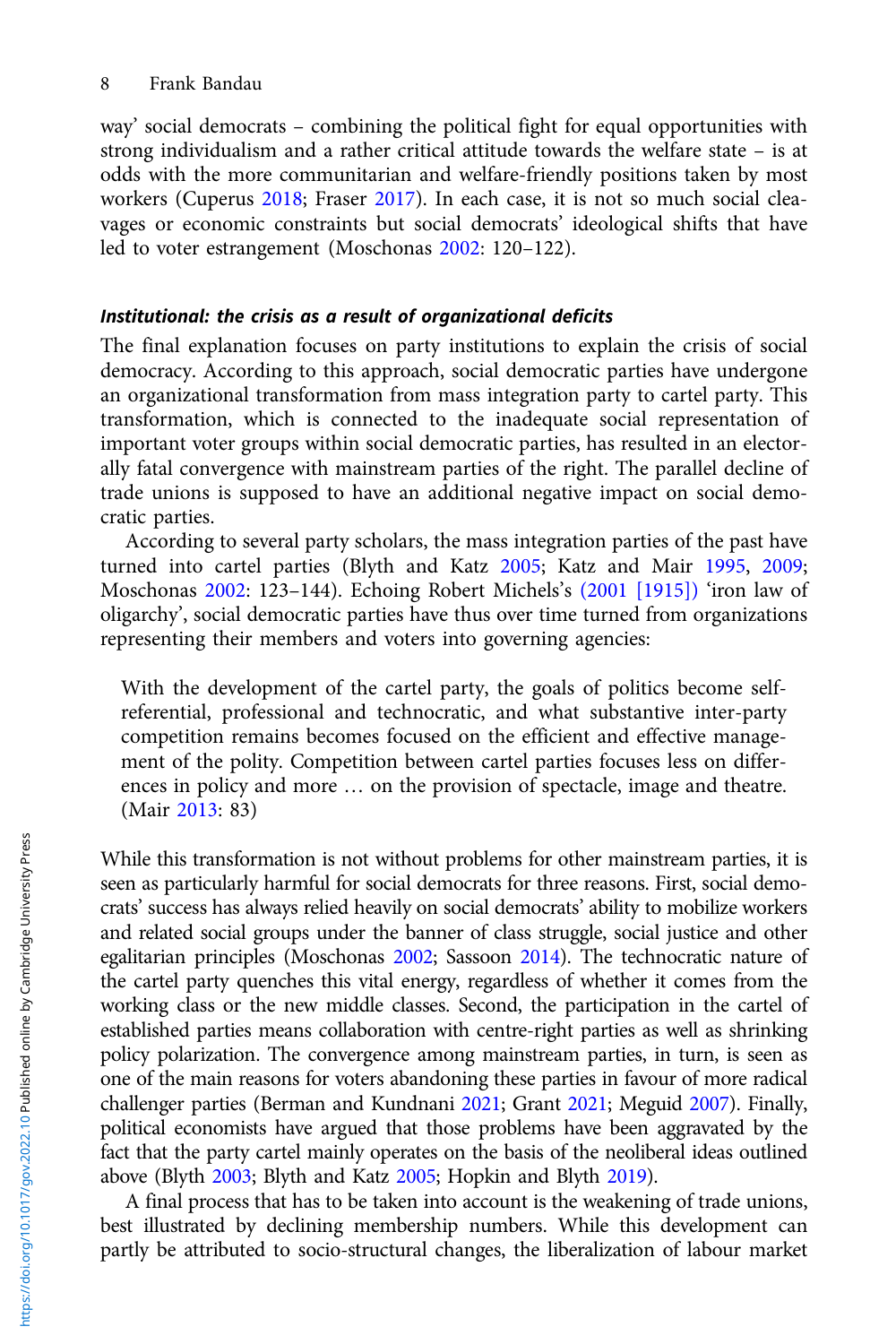way' social democrats – combining the political fight for equal opportunities with strong individualism and a rather critical attitude towards the welfare state – is at odds with the more communitarian and welfare-friendly positions taken by most workers (Cuperus [2018](#page-18-0); Fraser [2017\)](#page-18-0). In each case, it is not so much social cleavages or economic constraints but social democrats' ideological shifts that have led to voter estrangement (Moschonas [2002:](#page-20-0) 120–122).

### Institutional: the crisis as a result of organizational deficits

The final explanation focuses on party institutions to explain the crisis of social democracy. According to this approach, social democratic parties have undergone an organizational transformation from mass integration party to cartel party. This transformation, which is connected to the inadequate social representation of important voter groups within social democratic parties, has resulted in an electorally fatal convergence with mainstream parties of the right. The parallel decline of trade unions is supposed to have an additional negative impact on social democratic parties.

According to several party scholars, the mass integration parties of the past have turned into cartel parties (Blyth and Katz [2005](#page-17-0); Katz and Mair [1995,](#page-19-0) [2009](#page-19-0); Moschonas [2002](#page-20-0): 123–144). Echoing Robert Michels's [\(2001 \[1915\]\)](#page-20-0) 'iron law of oligarchy', social democratic parties have thus over time turned from organizations representing their members and voters into governing agencies:

With the development of the cartel party, the goals of politics become selfreferential, professional and technocratic, and what substantive inter-party competition remains becomes focused on the efficient and effective management of the polity. Competition between cartel parties focuses less on differences in policy and more … on the provision of spectacle, image and theatre. (Mair [2013:](#page-20-0) 83)

While this transformation is not without problems for other mainstream parties, it is seen as particularly harmful for social democrats for three reasons. First, social democrats' success has always relied heavily on social democrats' ability to mobilize workers and related social groups under the banner of class struggle, social justice and other egalitarian principles (Moschonas [2002](#page-20-0); Sassoon [2014](#page-21-0)). The technocratic nature of the cartel party quenches this vital energy, regardless of whether it comes from the working class or the new middle classes. Second, the participation in the cartel of established parties means collaboration with centre-right parties as well as shrinking policy polarization. The convergence among mainstream parties, in turn, is seen as one of the main reasons for voters abandoning these parties in favour of more radical challenger parties (Berman and Kundnani [2021;](#page-17-0) Grant [2021](#page-18-0); Meguid [2007\)](#page-20-0). Finally, political economists have argued that those problems have been aggravated by the fact that the party cartel mainly operates on the basis of the neoliberal ideas outlined above (Blyth [2003;](#page-17-0) Blyth and Katz [2005;](#page-17-0) Hopkin and Blyth [2019\)](#page-19-0).

A final process that has to be taken into account is the weakening of trade unions, best illustrated by declining membership numbers. While this development can partly be attributed to socio-structural changes, the liberalization of labour market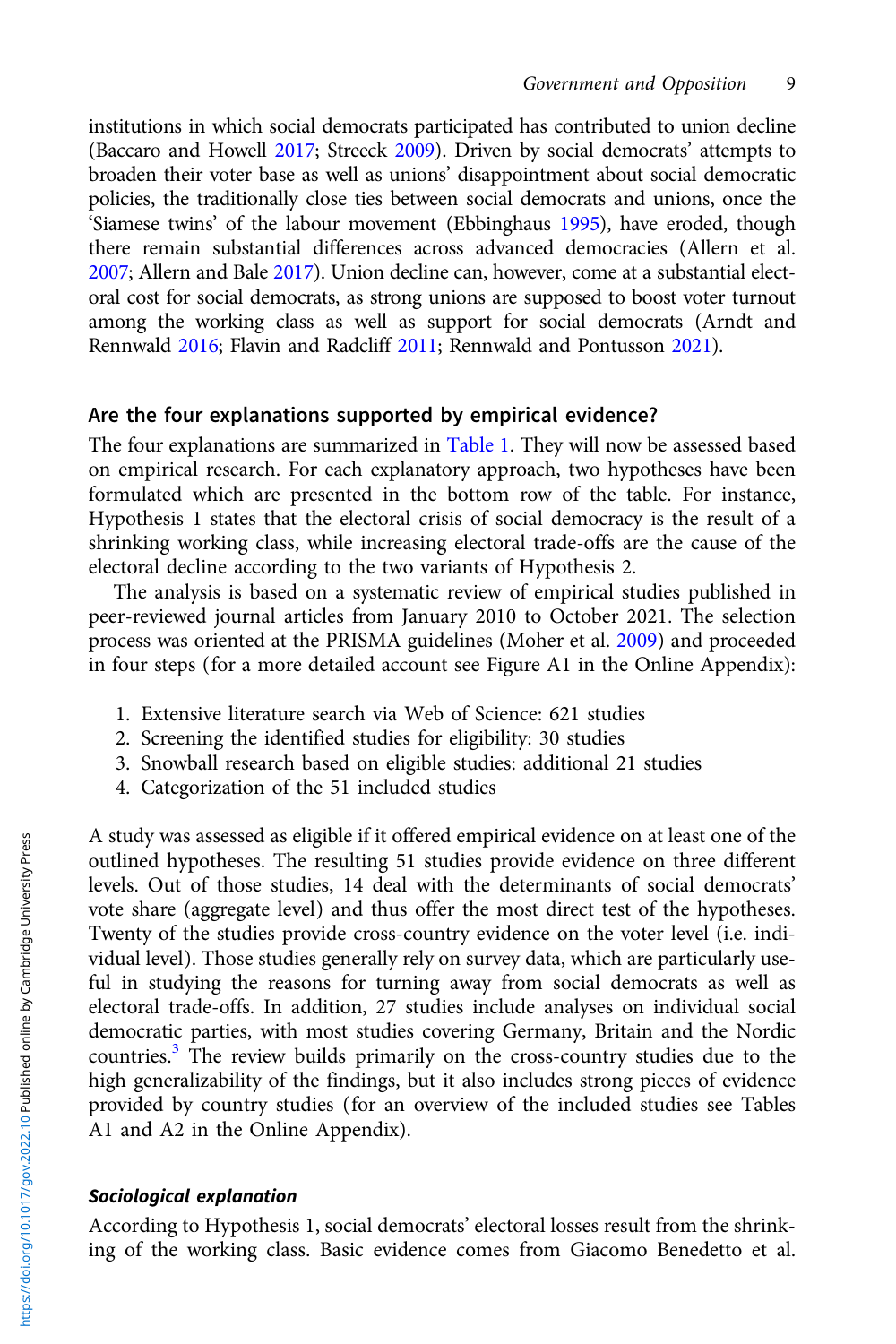institutions in which social democrats participated has contributed to union decline (Baccaro and Howell [2017](#page-17-0); Streeck [2009](#page-21-0)). Driven by social democrats' attempts to broaden their voter base as well as unions' disappointment about social democratic policies, the traditionally close ties between social democrats and unions, once the 'Siamese twins' of the labour movement (Ebbinghaus [1995](#page-18-0)), have eroded, though there remain substantial differences across advanced democracies (Allern et al. [2007;](#page-16-0) Allern and Bale [2017\)](#page-16-0). Union decline can, however, come at a substantial electoral cost for social democrats, as strong unions are supposed to boost voter turnout among the working class as well as support for social democrats (Arndt and Rennwald [2016;](#page-17-0) Flavin and Radcliff [2011](#page-18-0); Rennwald and Pontusson [2021](#page-21-0)).

# Are the four explanations supported by empirical evidence?

The four explanations are summarized in [Table 1](#page-9-0). They will now be assessed based on empirical research. For each explanatory approach, two hypotheses have been formulated which are presented in the bottom row of the table. For instance, Hypothesis 1 states that the electoral crisis of social democracy is the result of a shrinking working class, while increasing electoral trade-offs are the cause of the electoral decline according to the two variants of Hypothesis 2.

The analysis is based on a systematic review of empirical studies published in peer-reviewed journal articles from January 2010 to October 2021. The selection process was oriented at the PRISMA guidelines (Moher et al. [2009](#page-20-0)) and proceeded in four steps (for a more detailed account see Figure A1 in the Online Appendix):

- 1. Extensive literature search via Web of Science: 621 studies
- 2. Screening the identified studies for eligibility: 30 studies
- 3. Snowball research based on eligible studies: additional 21 studies
- 4. Categorization of the 51 included studies

A study was assessed as eligible if it offered empirical evidence on at least one of the outlined hypotheses. The resulting 51 studies provide evidence on three different levels. Out of those studies, 14 deal with the determinants of social democrats' vote share (aggregate level) and thus offer the most direct test of the hypotheses. Twenty of the studies provide cross-country evidence on the voter level (i.e. individual level). Those studies generally rely on survey data, which are particularly useful in studying the reasons for turning away from social democrats as well as electoral trade-offs. In addition, 27 studies include analyses on individual social democratic parties, with most studies covering Germany, Britain and the Nordic countries.[3](#page-16-0) The review builds primarily on the cross-country studies due to the high generalizability of the findings, but it also includes strong pieces of evidence provided by country studies (for an overview of the included studies see Tables A1 and A2 in the Online Appendix).

# Sociological explanation

According to Hypothesis 1, social democrats' electoral losses result from the shrinking of the working class. Basic evidence comes from Giacomo Benedetto et al.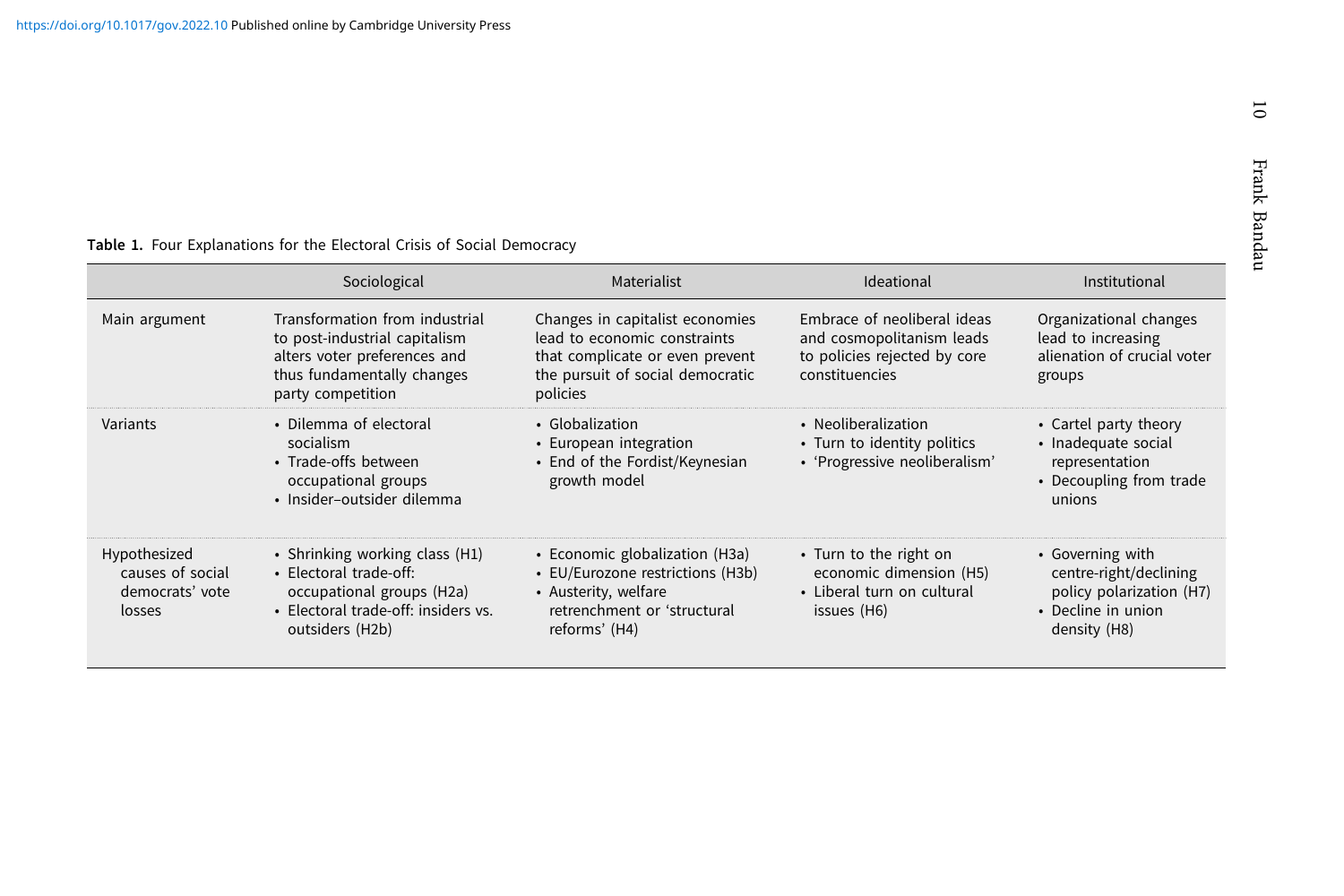#### <span id="page-9-0"></span>Table 1. Four Explanations for the Electoral Crisis of Social Democracy

|                                                               | Sociological                                                                                                                                       | Materialist                                                                                                                                        | Ideational                                                                                                 | Institutional                                                                                                |
|---------------------------------------------------------------|----------------------------------------------------------------------------------------------------------------------------------------------------|----------------------------------------------------------------------------------------------------------------------------------------------------|------------------------------------------------------------------------------------------------------------|--------------------------------------------------------------------------------------------------------------|
| Main argument                                                 | Transformation from industrial<br>to post-industrial capitalism<br>alters voter preferences and<br>thus fundamentally changes<br>party competition | Changes in capitalist economies<br>lead to economic constraints<br>that complicate or even prevent<br>the pursuit of social democratic<br>policies | Embrace of neoliberal ideas<br>and cosmopolitanism leads<br>to policies rejected by core<br>constituencies | Organizational changes<br>lead to increasing<br>alienation of crucial voter<br>groups                        |
| Variants                                                      | • Dilemma of electoral<br>socialism<br>• Trade-offs between<br>occupational groups<br>• Insider-outsider dilemma                                   | • Globalization<br>• European integration<br>• End of the Fordist/Keynesian<br>growth model                                                        | • Neoliberalization<br>• Turn to identity politics<br>· 'Progressive neoliberalism'                        | • Cartel party theory<br>· Inadequate social<br>representation<br>• Decoupling from trade<br>unions          |
| Hypothesized<br>causes of social<br>democrats' vote<br>losses | • Shrinking working class (H1)<br>· Electoral trade-off:<br>occupational groups (H2a)<br>• Electoral trade-off: insiders vs.<br>outsiders (H2b)    | • Economic globalization (H3a)<br>• EU/Eurozone restrictions (H3b)<br>• Austerity, welfare<br>retrenchment or 'structural<br>reforms' (H4)         | • Turn to the right on<br>economic dimension (H5)<br>• Liberal turn on cultural<br>issues (H6)             | • Governing with<br>centre-right/declining<br>policy polarization (H7)<br>• Decline in union<br>density (H8) |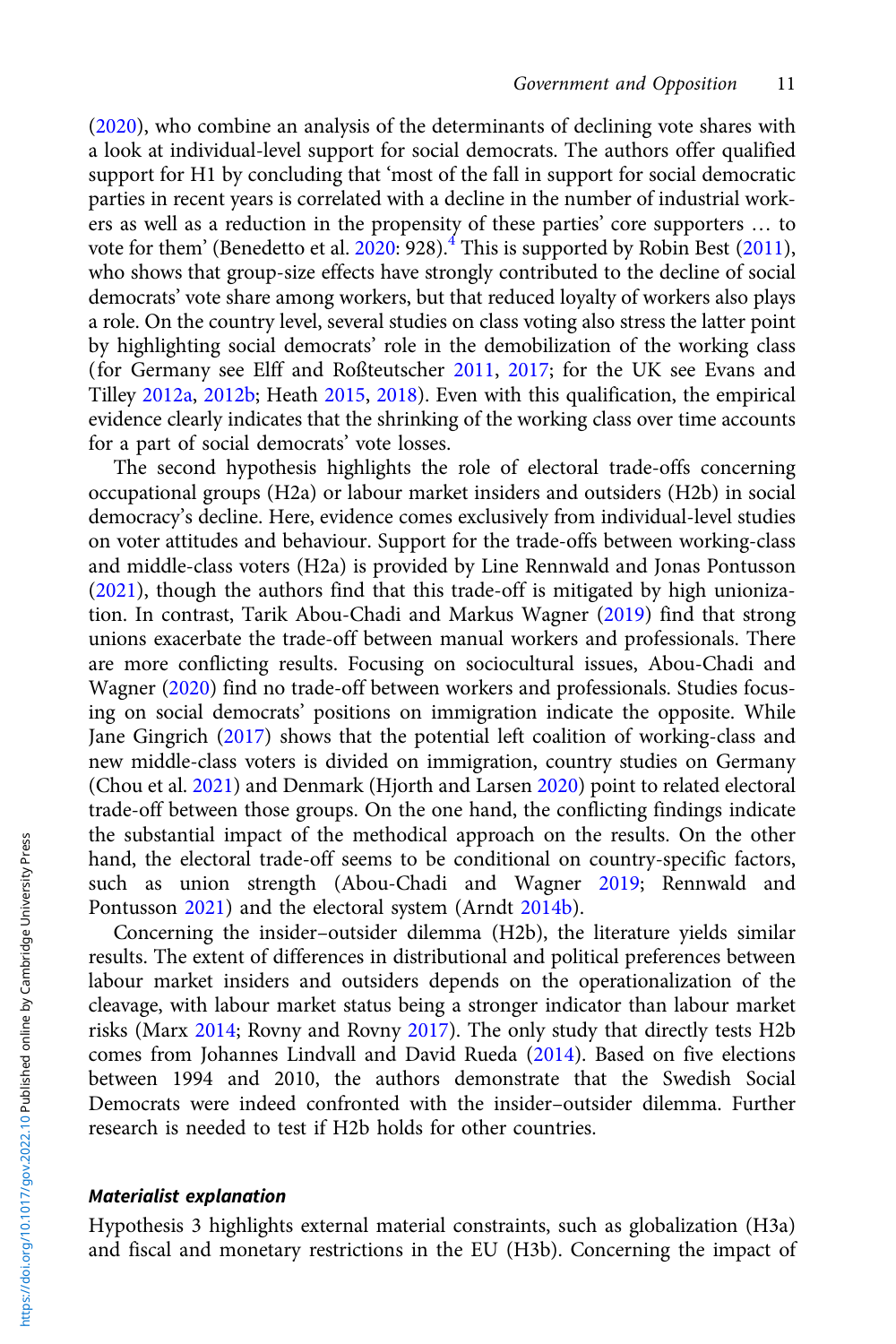[\(2020\)](#page-17-0), who combine an analysis of the determinants of declining vote shares with a look at individual-level support for social democrats. The authors offer qualified support for H1 by concluding that 'most of the fall in support for social democratic parties in recent years is correlated with a decline in the number of industrial workers as well as a reduction in the propensity of these parties' core supporters … to vote for them' (Benedetto et al.  $2020:928$  $2020:928$ ).<sup>[4](#page-16-0)</sup> This is supported by Robin Best [\(2011\)](#page-17-0), who shows that group-size effects have strongly contributed to the decline of social democrats' vote share among workers, but that reduced loyalty of workers also plays a role. On the country level, several studies on class voting also stress the latter point by highlighting social democrats' role in the demobilization of the working class (for Germany see Elff and Roßteutscher [2011,](#page-18-0) [2017](#page-18-0); for the UK see Evans and Tilley [2012a,](#page-18-0) [2012b;](#page-18-0) Heath [2015,](#page-19-0) [2018\)](#page-19-0). Even with this qualification, the empirical evidence clearly indicates that the shrinking of the working class over time accounts for a part of social democrats' vote losses.

The second hypothesis highlights the role of electoral trade-offs concerning occupational groups (H2a) or labour market insiders and outsiders (H2b) in social democracy's decline. Here, evidence comes exclusively from individual-level studies on voter attitudes and behaviour. Support for the trade-offs between working-class and middle-class voters (H2a) is provided by Line Rennwald and Jonas Pontusson [\(2021\)](#page-21-0), though the authors find that this trade-off is mitigated by high unionization. In contrast, Tarik Abou-Chadi and Markus Wagner [\(2019](#page-16-0)) find that strong unions exacerbate the trade-off between manual workers and professionals. There are more conflicting results. Focusing on sociocultural issues, Abou-Chadi and Wagner [\(2020\)](#page-16-0) find no trade-off between workers and professionals. Studies focusing on social democrats' positions on immigration indicate the opposite. While Jane Gingrich ([2017](#page-18-0)) shows that the potential left coalition of working-class and new middle-class voters is divided on immigration, country studies on Germany (Chou et al. [2021](#page-18-0)) and Denmark (Hjorth and Larsen [2020](#page-19-0)) point to related electoral trade-off between those groups. On the one hand, the conflicting findings indicate the substantial impact of the methodical approach on the results. On the other hand, the electoral trade-off seems to be conditional on country-specific factors, such as union strength (Abou-Chadi and Wagner [2019;](#page-16-0) Rennwald and Pontusson [2021](#page-21-0)) and the electoral system (Arndt [2014b](#page-17-0)).

Concerning the insider–outsider dilemma (H2b), the literature yields similar results. The extent of differences in distributional and political preferences between labour market insiders and outsiders depends on the operationalization of the cleavage, with labour market status being a stronger indicator than labour market risks (Marx [2014](#page-20-0); Rovny and Rovny [2017\)](#page-21-0). The only study that directly tests H2b comes from Johannes Lindvall and David Rueda ([2014](#page-20-0)). Based on five elections between 1994 and 2010, the authors demonstrate that the Swedish Social Democrats were indeed confronted with the insider–outsider dilemma. Further research is needed to test if H2b holds for other countries.

### Materialist explanation

Hypothesis 3 highlights external material constraints, such as globalization (H3a) and fiscal and monetary restrictions in the EU (H3b). Concerning the impact of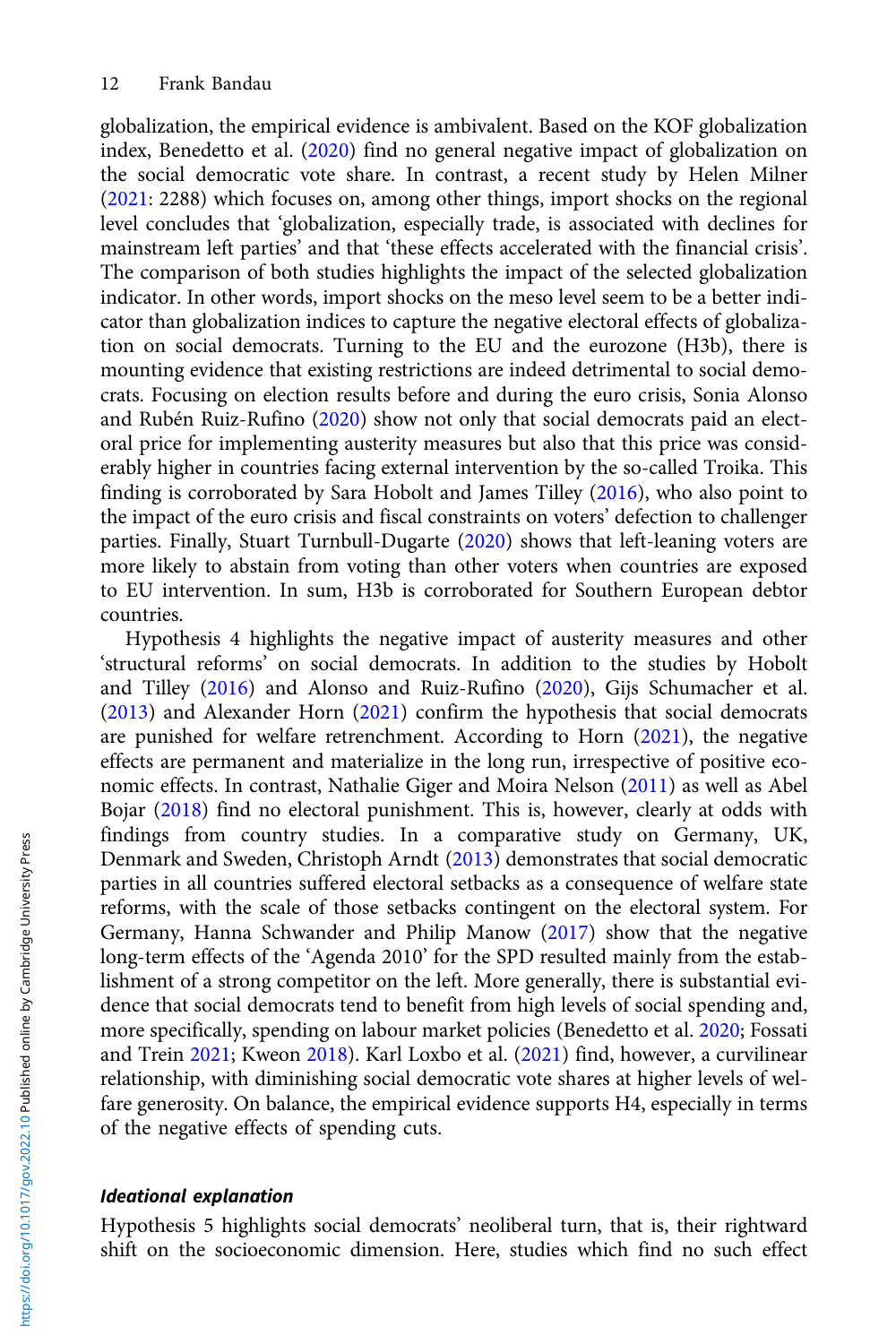globalization, the empirical evidence is ambivalent. Based on the KOF globalization index, Benedetto et al. [\(2020\)](#page-17-0) find no general negative impact of globalization on the social democratic vote share. In contrast, a recent study by Helen Milner ([2021](#page-20-0): 2288) which focuses on, among other things, import shocks on the regional level concludes that 'globalization, especially trade, is associated with declines for mainstream left parties' and that 'these effects accelerated with the financial crisis'. The comparison of both studies highlights the impact of the selected globalization indicator. In other words, import shocks on the meso level seem to be a better indicator than globalization indices to capture the negative electoral effects of globalization on social democrats. Turning to the EU and the eurozone (H3b), there is mounting evidence that existing restrictions are indeed detrimental to social democrats. Focusing on election results before and during the euro crisis, Sonia Alonso and Rubén Ruiz-Rufino [\(2020](#page-17-0)) show not only that social democrats paid an electoral price for implementing austerity measures but also that this price was considerably higher in countries facing external intervention by the so-called Troika. This finding is corroborated by Sara Hobolt and James Tilley ([2016\)](#page-19-0), who also point to the impact of the euro crisis and fiscal constraints on voters' defection to challenger parties. Finally, Stuart Turnbull-Dugarte [\(2020](#page-22-0)) shows that left-leaning voters are more likely to abstain from voting than other voters when countries are exposed to EU intervention. In sum, H3b is corroborated for Southern European debtor countries.

Hypothesis 4 highlights the negative impact of austerity measures and other 'structural reforms' on social democrats. In addition to the studies by Hobolt and Tilley ([2016](#page-19-0)) and Alonso and Ruiz-Rufino ([2020](#page-17-0)), Gijs Schumacher et al. ([2013](#page-21-0)) and Alexander Horn ([2021\)](#page-19-0) confirm the hypothesis that social democrats are punished for welfare retrenchment. According to Horn [\(2021\)](#page-19-0), the negative effects are permanent and materialize in the long run, irrespective of positive economic effects. In contrast, Nathalie Giger and Moira Nelson ([2011\)](#page-18-0) as well as Abel Bojar [\(2018\)](#page-17-0) find no electoral punishment. This is, however, clearly at odds with findings from country studies. In a comparative study on Germany, UK, Denmark and Sweden, Christoph Arndt ([2013](#page-17-0)) demonstrates that social democratic parties in all countries suffered electoral setbacks as a consequence of welfare state reforms, with the scale of those setbacks contingent on the electoral system. For Germany, Hanna Schwander and Philip Manow [\(2017](#page-21-0)) show that the negative long-term effects of the 'Agenda 2010' for the SPD resulted mainly from the establishment of a strong competitor on the left. More generally, there is substantial evidence that social democrats tend to benefit from high levels of social spending and, more specifically, spending on labour market policies (Benedetto et al. [2020;](#page-17-0) Fossati and Trein [2021](#page-18-0); Kweon [2018](#page-19-0)). Karl Loxbo et al. ([2021](#page-20-0)) find, however, a curvilinear relationship, with diminishing social democratic vote shares at higher levels of welfare generosity. On balance, the empirical evidence supports H4, especially in terms of the negative effects of spending cuts.

### Ideational explanation

Hypothesis 5 highlights social democrats' neoliberal turn, that is, their rightward shift on the socioeconomic dimension. Here, studies which find no such effect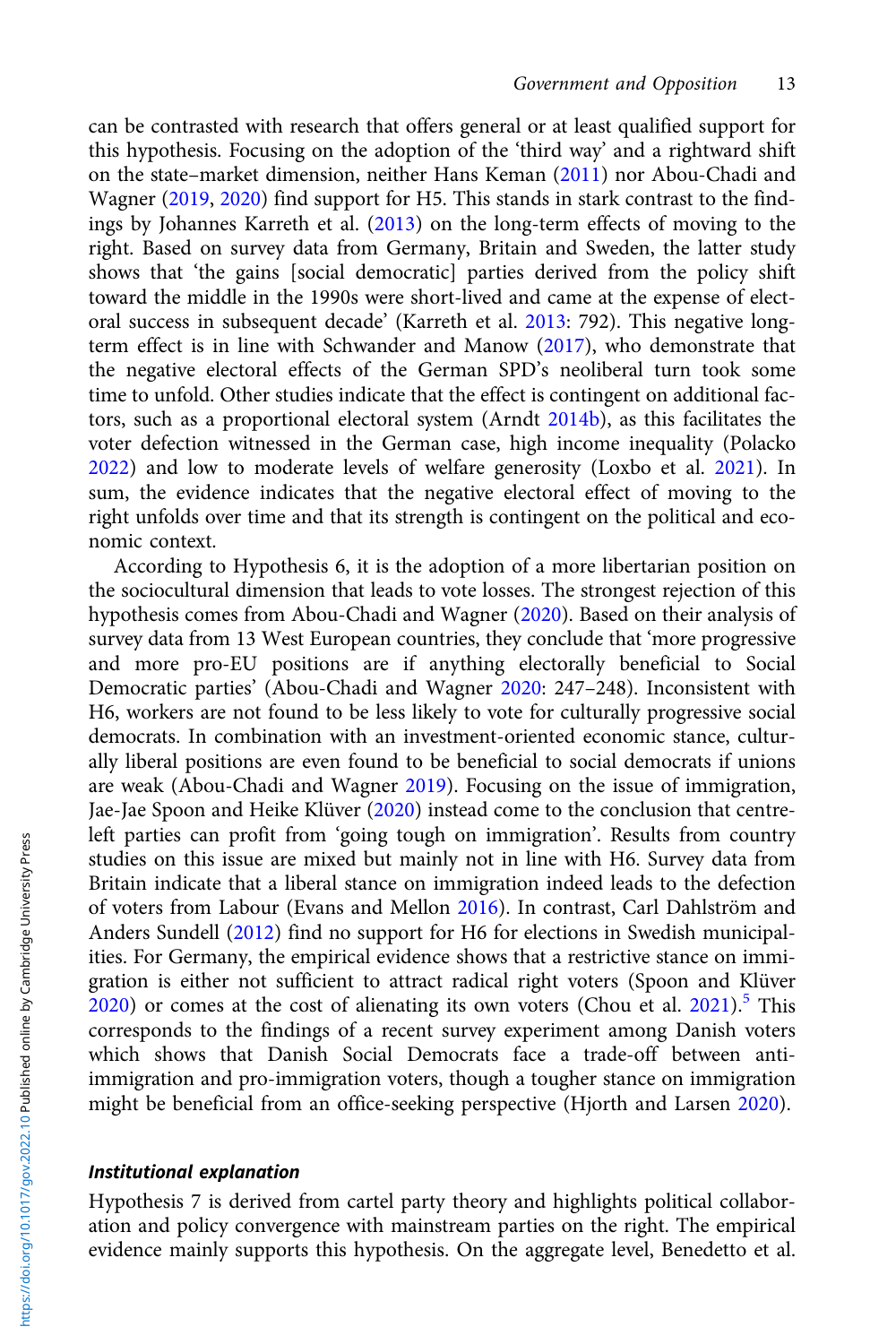can be contrasted with research that offers general or at least qualified support for this hypothesis. Focusing on the adoption of the 'third way' and a rightward shift on the state–market dimension, neither Hans Keman [\(2011](#page-19-0)) nor Abou-Chadi and Wagner [\(2019,](#page-16-0) [2020](#page-16-0)) find support for H5. This stands in stark contrast to the findings by Johannes Karreth et al. [\(2013\)](#page-19-0) on the long-term effects of moving to the right. Based on survey data from Germany, Britain and Sweden, the latter study shows that 'the gains [social democratic] parties derived from the policy shift toward the middle in the 1990s were short-lived and came at the expense of electoral success in subsequent decade' (Karreth et al. [2013](#page-19-0): 792). This negative longterm effect is in line with Schwander and Manow [\(2017](#page-21-0)), who demonstrate that the negative electoral effects of the German SPD's neoliberal turn took some time to unfold. Other studies indicate that the effect is contingent on additional factors, such as a proportional electoral system (Arndt [2014b](#page-17-0)), as this facilitates the voter defection witnessed in the German case, high income inequality (Polacko [2022](#page-21-0)) and low to moderate levels of welfare generosity (Loxbo et al. [2021](#page-20-0)). In sum, the evidence indicates that the negative electoral effect of moving to the right unfolds over time and that its strength is contingent on the political and economic context.

According to Hypothesis 6, it is the adoption of a more libertarian position on the sociocultural dimension that leads to vote losses. The strongest rejection of this hypothesis comes from Abou-Chadi and Wagner [\(2020\)](#page-16-0). Based on their analysis of survey data from 13 West European countries, they conclude that 'more progressive and more pro-EU positions are if anything electorally beneficial to Social Democratic parties' (Abou-Chadi and Wagner [2020](#page-16-0): 247–248). Inconsistent with H6, workers are not found to be less likely to vote for culturally progressive social democrats. In combination with an investment-oriented economic stance, culturally liberal positions are even found to be beneficial to social democrats if unions are weak (Abou-Chadi and Wagner [2019\)](#page-16-0). Focusing on the issue of immigration, Jae-Jae Spoon and Heike Klüver ([2020](#page-21-0)) instead come to the conclusion that centreleft parties can profit from 'going tough on immigration'. Results from country studies on this issue are mixed but mainly not in line with H6. Survey data from Britain indicate that a liberal stance on immigration indeed leads to the defection of voters from Labour (Evans and Mellon [2016\)](#page-18-0). In contrast, Carl Dahlström and Anders Sundell [\(2012\)](#page-18-0) find no support for H6 for elections in Swedish municipalities. For Germany, the empirical evidence shows that a restrictive stance on immigration is either not sufficient to attract radical right voters (Spoon and Klüver  $2020$ ) or comes at the cost of alienating its own voters (Chou et al. [2021](#page-18-0)).<sup>5</sup> This corresponds to the findings of a recent survey experiment among Danish voters which shows that Danish Social Democrats face a trade-off between antiimmigration and pro-immigration voters, though a tougher stance on immigration might be beneficial from an office-seeking perspective (Hjorth and Larsen [2020\)](#page-19-0).

### Institutional explanation

Hypothesis 7 is derived from cartel party theory and highlights political collaboration and policy convergence with mainstream parties on the right. The empirical evidence mainly supports this hypothesis. On the aggregate level, Benedetto et al.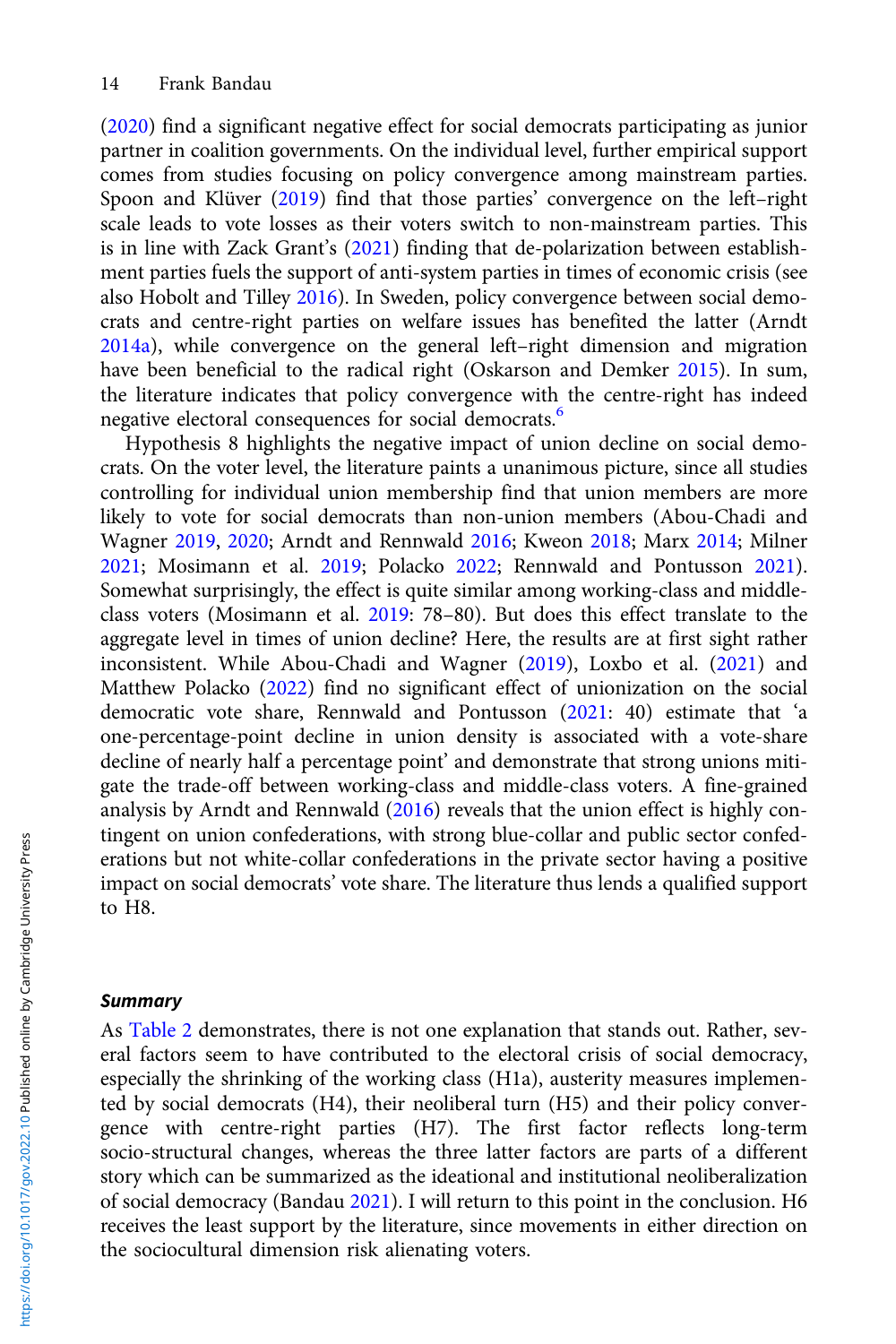([2020](#page-17-0)) find a significant negative effect for social democrats participating as junior partner in coalition governments. On the individual level, further empirical support comes from studies focusing on policy convergence among mainstream parties. Spoon and Klüver ([2019](#page-21-0)) find that those parties' convergence on the left–right scale leads to vote losses as their voters switch to non-mainstream parties. This is in line with Zack Grant's ([2021\)](#page-18-0) finding that de-polarization between establishment parties fuels the support of anti-system parties in times of economic crisis (see also Hobolt and Tilley [2016](#page-19-0)). In Sweden, policy convergence between social democrats and centre-right parties on welfare issues has benefited the latter (Arndt [2014a](#page-17-0)), while convergence on the general left–right dimension and migration have been beneficial to the radical right (Oskarson and Demker [2015\)](#page-20-0). In sum, the literature indicates that policy convergence with the centre-right has indeed negative electoral consequences for social democrats.<sup>[6](#page-16-0)</sup>

Hypothesis 8 highlights the negative impact of union decline on social democrats. On the voter level, the literature paints a unanimous picture, since all studies controlling for individual union membership find that union members are more likely to vote for social democrats than non-union members (Abou-Chadi and Wagner [2019,](#page-16-0) [2020](#page-16-0); Arndt and Rennwald [2016](#page-17-0); Kweon [2018;](#page-19-0) Marx [2014;](#page-20-0) Milner [2021;](#page-20-0) Mosimann et al. [2019;](#page-20-0) Polacko [2022;](#page-21-0) Rennwald and Pontusson [2021\)](#page-21-0). Somewhat surprisingly, the effect is quite similar among working-class and middleclass voters (Mosimann et al. [2019:](#page-20-0) 78–80). But does this effect translate to the aggregate level in times of union decline? Here, the results are at first sight rather inconsistent. While Abou-Chadi and Wagner ([2019](#page-16-0)), Loxbo et al. ([2021](#page-20-0)) and Matthew Polacko [\(2022\)](#page-21-0) find no significant effect of unionization on the social democratic vote share, Rennwald and Pontusson ([2021](#page-21-0): 40) estimate that 'a one-percentage-point decline in union density is associated with a vote-share decline of nearly half a percentage point' and demonstrate that strong unions mitigate the trade-off between working-class and middle-class voters. A fine-grained analysis by Arndt and Rennwald ([2016\)](#page-17-0) reveals that the union effect is highly contingent on union confederations, with strong blue-collar and public sector confederations but not white-collar confederations in the private sector having a positive impact on social democrats' vote share. The literature thus lends a qualified support to H8.

### **Summary**

As [Table 2](#page-14-0) demonstrates, there is not one explanation that stands out. Rather, several factors seem to have contributed to the electoral crisis of social democracy, especially the shrinking of the working class (H1a), austerity measures implemented by social democrats (H4), their neoliberal turn (H5) and their policy convergence with centre-right parties (H7). The first factor reflects long-term socio-structural changes, whereas the three latter factors are parts of a different story which can be summarized as the ideational and institutional neoliberalization of social democracy (Bandau [2021\)](#page-17-0). I will return to this point in the conclusion. H6 receives the least support by the literature, since movements in either direction on the sociocultural dimension risk alienating voters.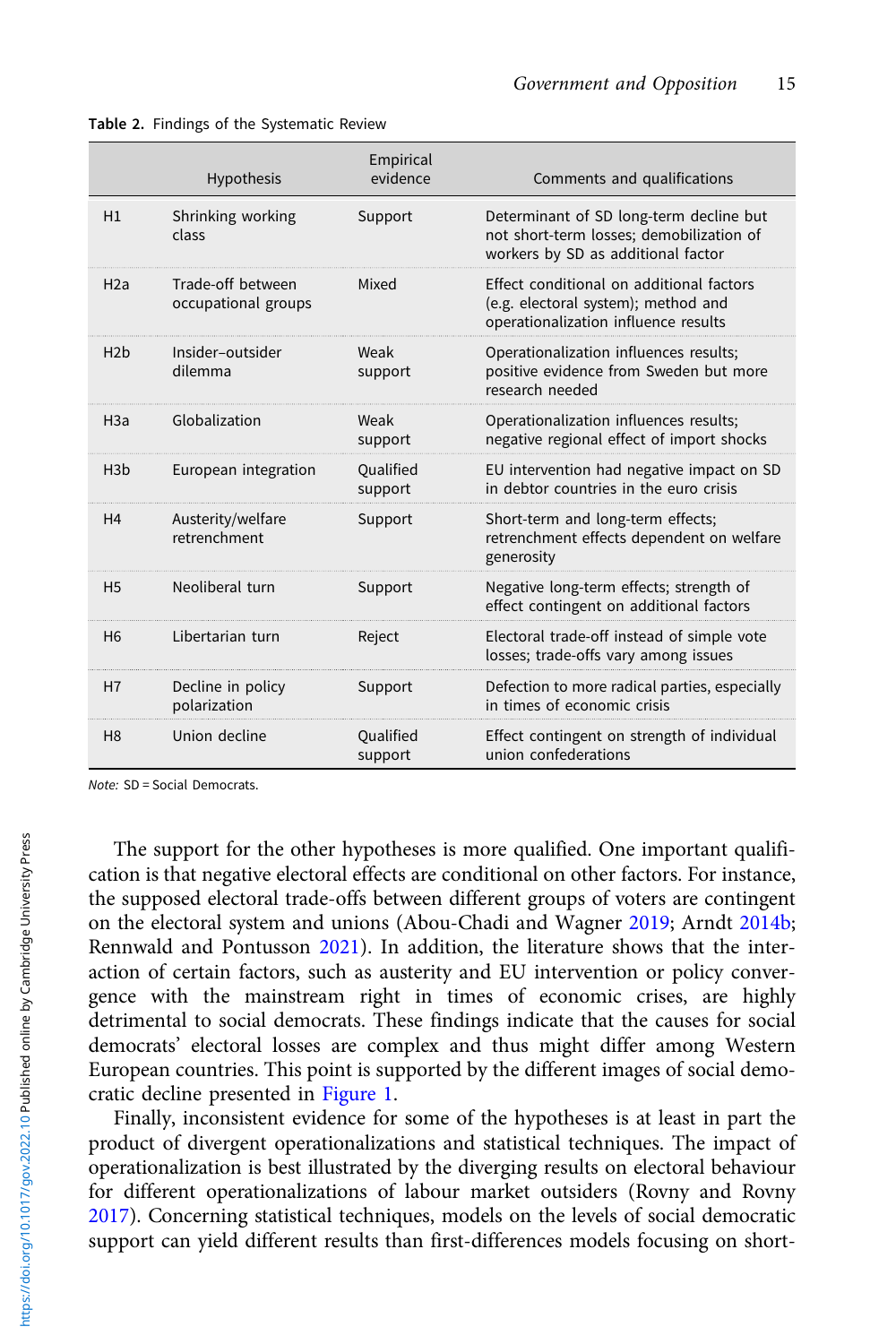|                | Hypothesis                               | Empirical<br>evidence | Comments and qualifications                                                                                               |
|----------------|------------------------------------------|-----------------------|---------------------------------------------------------------------------------------------------------------------------|
| H1             | Shrinking working<br>class               | Support               | Determinant of SD long-term decline but<br>not short-term losses; demobilization of<br>workers by SD as additional factor |
| H2a            | Trade-off between<br>occupational groups | Mixed                 | Effect conditional on additional factors<br>(e.g. electoral system); method and<br>operationalization influence results   |
| H2b            | Insider-outsider<br>dilemma              | Weak<br>support       | Operationalization influences results;<br>positive evidence from Sweden but more<br>research needed                       |
| H3a            | Globalization                            | Weak<br>support       | Operationalization influences results;<br>negative regional effect of import shocks                                       |
| H3b            | European integration                     | Qualified<br>support  | EU intervention had negative impact on SD<br>in debtor countries in the euro crisis                                       |
| H4             | Austerity/welfare<br>retrenchment        | Support               | Short-term and long-term effects;<br>retrenchment effects dependent on welfare<br>generosity                              |
| H <sub>5</sub> | Neoliberal turn                          | Support               | Negative long-term effects; strength of<br>effect contingent on additional factors                                        |
| H <sub>6</sub> | Libertarian turn                         | Reject                | Electoral trade-off instead of simple vote<br>losses; trade-offs vary among issues                                        |
| H7             | Decline in policy<br>polarization        | Support               | Defection to more radical parties, especially<br>in times of economic crisis                                              |
| H <sub>8</sub> | Union decline                            | Qualified<br>support  | Effect contingent on strength of individual<br>union confederations                                                       |

<span id="page-14-0"></span>

|  |  |  | Table 2. Findings of the Systematic Review |  |
|--|--|--|--------------------------------------------|--|
|--|--|--|--------------------------------------------|--|

Note: SD = Social Democrats.

The support for the other hypotheses is more qualified. One important qualification is that negative electoral effects are conditional on other factors. For instance, the supposed electoral trade-offs between different groups of voters are contingent on the electoral system and unions (Abou-Chadi and Wagner [2019](#page-16-0); Arndt [2014b](#page-17-0); Rennwald and Pontusson [2021](#page-21-0)). In addition, the literature shows that the interaction of certain factors, such as austerity and EU intervention or policy convergence with the mainstream right in times of economic crises, are highly detrimental to social democrats. These findings indicate that the causes for social democrats' electoral losses are complex and thus might differ among Western European countries. This point is supported by the different images of social democratic decline presented in [Figure 1](#page-1-0).

Finally, inconsistent evidence for some of the hypotheses is at least in part the product of divergent operationalizations and statistical techniques. The impact of operationalization is best illustrated by the diverging results on electoral behaviour for different operationalizations of labour market outsiders (Rovny and Rovny [2017](#page-21-0)). Concerning statistical techniques, models on the levels of social democratic support can yield different results than first-differences models focusing on short-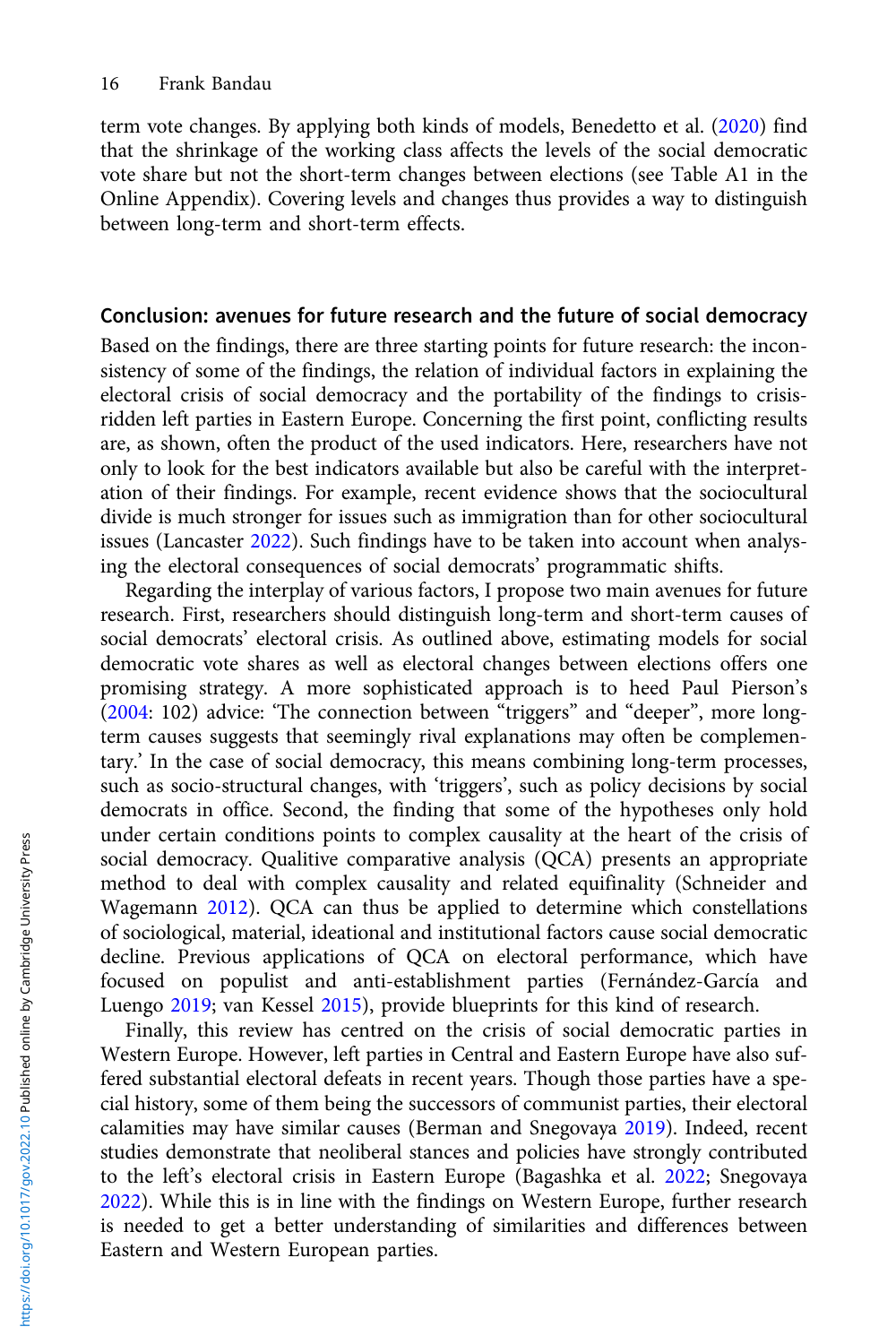term vote changes. By applying both kinds of models, Benedetto et al. [\(2020](#page-17-0)) find that the shrinkage of the working class affects the levels of the social democratic vote share but not the short-term changes between elections (see Table A1 in the Online Appendix). Covering levels and changes thus provides a way to distinguish between long-term and short-term effects.

# Conclusion: avenues for future research and the future of social democracy

Based on the findings, there are three starting points for future research: the inconsistency of some of the findings, the relation of individual factors in explaining the electoral crisis of social democracy and the portability of the findings to crisisridden left parties in Eastern Europe. Concerning the first point, conflicting results are, as shown, often the product of the used indicators. Here, researchers have not only to look for the best indicators available but also be careful with the interpretation of their findings. For example, recent evidence shows that the sociocultural divide is much stronger for issues such as immigration than for other sociocultural issues (Lancaster [2022](#page-19-0)). Such findings have to be taken into account when analysing the electoral consequences of social democrats' programmatic shifts.

Regarding the interplay of various factors, I propose two main avenues for future research. First, researchers should distinguish long-term and short-term causes of social democrats' electoral crisis. As outlined above, estimating models for social democratic vote shares as well as electoral changes between elections offers one promising strategy. A more sophisticated approach is to heed Paul Pierson's ([2004](#page-21-0): 102) advice: 'The connection between "triggers" and "deeper", more longterm causes suggests that seemingly rival explanations may often be complementary.' In the case of social democracy, this means combining long-term processes, such as socio-structural changes, with 'triggers', such as policy decisions by social democrats in office. Second, the finding that some of the hypotheses only hold under certain conditions points to complex causality at the heart of the crisis of social democracy. Qualitive comparative analysis (QCA) presents an appropriate method to deal with complex causality and related equifinality (Schneider and Wagemann [2012](#page-21-0)). QCA can thus be applied to determine which constellations of sociological, material, ideational and institutional factors cause social democratic decline. Previous applications of QCA on electoral performance, which have focused on populist and anti-establishment parties (Fernández-García and Luengo [2019;](#page-18-0) van Kessel [2015](#page-22-0)), provide blueprints for this kind of research.

Finally, this review has centred on the crisis of social democratic parties in Western Europe. However, left parties in Central and Eastern Europe have also suffered substantial electoral defeats in recent years. Though those parties have a special history, some of them being the successors of communist parties, their electoral calamities may have similar causes (Berman and Snegovaya [2019](#page-17-0)). Indeed, recent studies demonstrate that neoliberal stances and policies have strongly contributed to the left's electoral crisis in Eastern Europe (Bagashka et al. [2022](#page-17-0); Snegovaya [2022\)](#page-21-0). While this is in line with the findings on Western Europe, further research is needed to get a better understanding of similarities and differences between Eastern and Western European parties.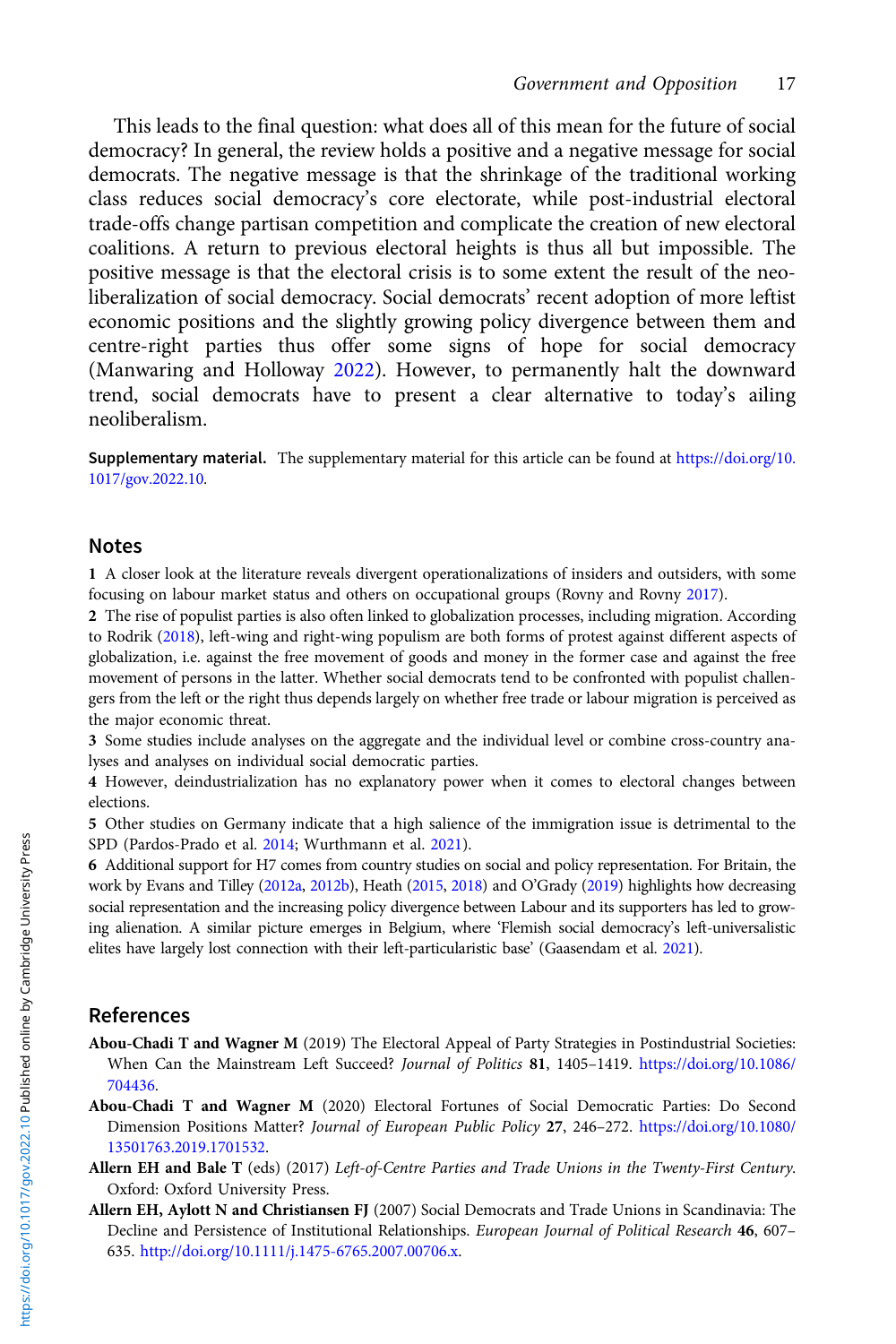<span id="page-16-0"></span>This leads to the final question: what does all of this mean for the future of social democracy? In general, the review holds a positive and a negative message for social democrats. The negative message is that the shrinkage of the traditional working class reduces social democracy's core electorate, while post-industrial electoral trade-offs change partisan competition and complicate the creation of new electoral coalitions. A return to previous electoral heights is thus all but impossible. The positive message is that the electoral crisis is to some extent the result of the neoliberalization of social democracy. Social democrats' recent adoption of more leftist economic positions and the slightly growing policy divergence between them and centre-right parties thus offer some signs of hope for social democracy (Manwaring and Holloway [2022](#page-20-0)). However, to permanently halt the downward trend, social democrats have to present a clear alternative to today's ailing neoliberalism.

Supplementary material. The supplementary material for this article can be found at [https://doi.org/10.](https://doi.org/10.1017/gov.2022.10) [1017/gov.2022.10.](https://doi.org/10.1017/gov.2022.10)

### Notes

1 A closer look at the literature reveals divergent operationalizations of insiders and outsiders, with some focusing on labour market status and others on occupational groups (Rovny and Rovny [2017](#page-21-0)).

2 The rise of populist parties is also often linked to globalization processes, including migration. According to Rodrik [\(2018\)](#page-21-0), left-wing and right-wing populism are both forms of protest against different aspects of globalization, i.e. against the free movement of goods and money in the former case and against the free movement of persons in the latter. Whether social democrats tend to be confronted with populist challengers from the left or the right thus depends largely on whether free trade or labour migration is perceived as the major economic threat.

3 Some studies include analyses on the aggregate and the individual level or combine cross-country analyses and analyses on individual social democratic parties.

4 However, deindustrialization has no explanatory power when it comes to electoral changes between elections.

5 Other studies on Germany indicate that a high salience of the immigration issue is detrimental to the SPD (Pardos-Prado et al. [2014;](#page-20-0) Wurthmann et al. [2021](#page-22-0)).

6 Additional support for H7 comes from country studies on social and policy representation. For Britain, the work by Evans and Tilley [\(2012a](#page-18-0), [2012b\)](#page-18-0), Heath [\(2015](#page-19-0), [2018\)](#page-19-0) and O'Grady [\(2019](#page-20-0)) highlights how decreasing social representation and the increasing policy divergence between Labour and its supporters has led to growing alienation. A similar picture emerges in Belgium, where 'Flemish social democracy's left-universalistic elites have largely lost connection with their left-particularistic base' (Gaasendam et al. [2021\)](#page-18-0).

# References

- Abou-Chadi T and Wagner M (2019) The Electoral Appeal of Party Strategies in Postindustrial Societies: When Can the Mainstream Left Succeed? Journal of Politics 81, 1405–1419. [https://doi.org/10.1086/](https://doi.org/10.1086/704436) [704436](https://doi.org/10.1086/704436).
- Abou-Chadi T and Wagner M (2020) Electoral Fortunes of Social Democratic Parties: Do Second Dimension Positions Matter? Journal of European Public Policy 27, 246–272. [https://doi.org/10.1080/](https://doi.org/10.1080/13501763.2019.1701532) [13501763.2019.1701532.](https://doi.org/10.1080/13501763.2019.1701532)
- Allern EH and Bale T (eds) (2017) Left-of-Centre Parties and Trade Unions in the Twenty-First Century. Oxford: Oxford University Press.
- Allern EH, Aylott N and Christiansen FJ (2007) Social Democrats and Trade Unions in Scandinavia: The Decline and Persistence of Institutional Relationships. European Journal of Political Research 46, 607-635. <http://doi.org/10.1111/j.1475-6765.2007.00706.x>.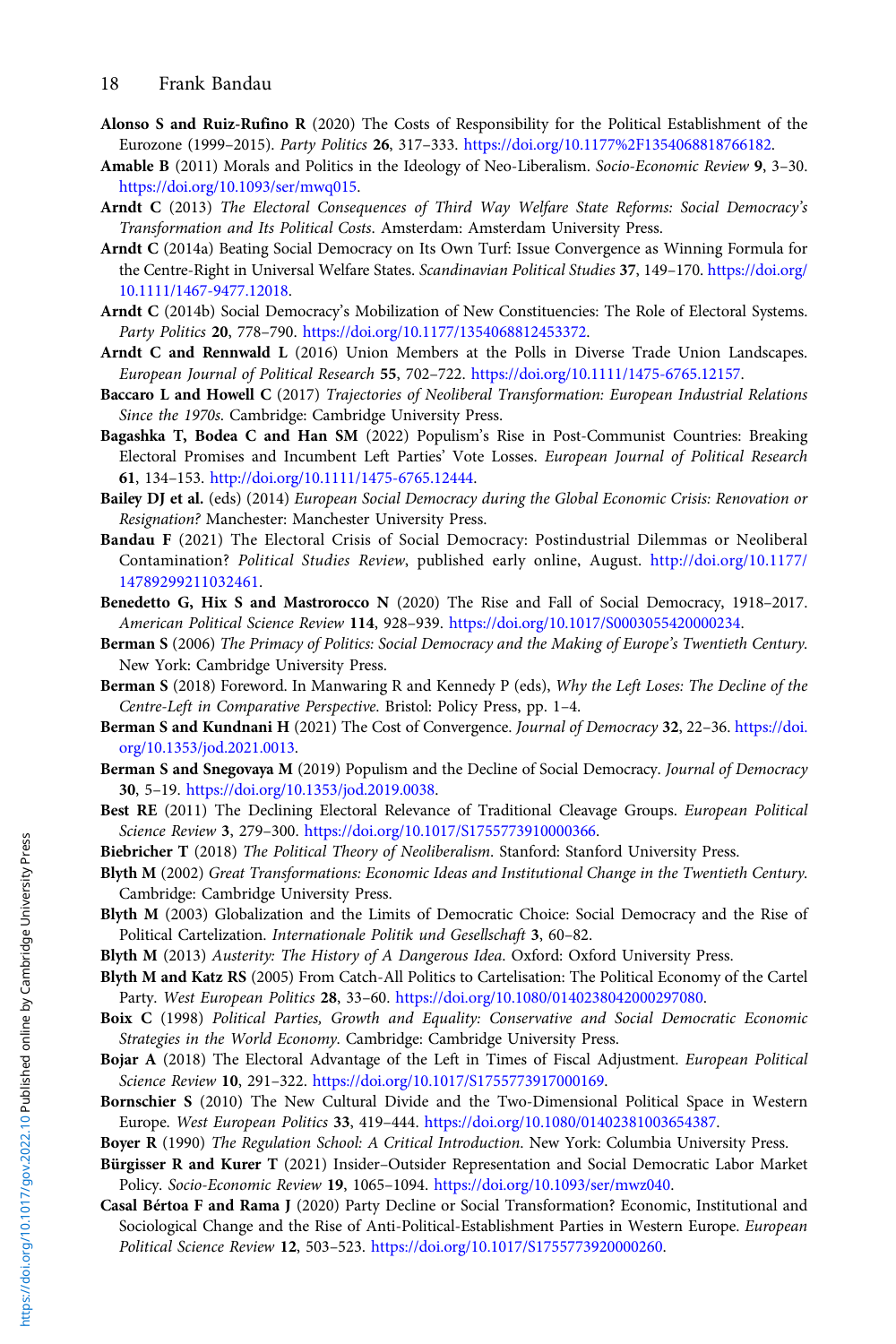- <span id="page-17-0"></span>Alonso S and Ruiz-Rufino R (2020) The Costs of Responsibility for the Political Establishment of the Eurozone (1999–2015). Party Politics 26, 317–333. [https://doi.org/10.1177%2F1354068818766182.](https://doi.org/10.1177%2F1354068818766182)
- Amable B (2011) Morals and Politics in the Ideology of Neo-Liberalism. Socio-Economic Review 9, 3–30. [https://doi.org/10.1093/ser/mwq015.](https://doi.org/10.1093/ser/mwq015)
- Arndt C (2013) The Electoral Consequences of Third Way Welfare State Reforms: Social Democracy's Transformation and Its Political Costs. Amsterdam: Amsterdam University Press.
- Arndt C (2014a) Beating Social Democracy on Its Own Turf: Issue Convergence as Winning Formula for the Centre-Right in Universal Welfare States. Scandinavian Political Studies 37, 149-170. [https://doi.org/](https://doi.org/10.1111/1467-9477.12018) [10.1111/1467-9477.12018.](https://doi.org/10.1111/1467-9477.12018)
- Arndt C (2014b) Social Democracy's Mobilization of New Constituencies: The Role of Electoral Systems. Party Politics 20, 778–790. [https://doi.org/10.1177/1354068812453372.](https://doi.org/10.1177/1354068812453372)
- Arndt C and Rennwald L (2016) Union Members at the Polls in Diverse Trade Union Landscapes. European Journal of Political Research 55, 702–722. <https://doi.org/10.1111/1475-6765.12157>.
- Baccaro L and Howell C (2017) Trajectories of Neoliberal Transformation: European Industrial Relations Since the 1970s. Cambridge: Cambridge University Press.
- Bagashka T, Bodea C and Han SM (2022) Populism's Rise in Post-Communist Countries: Breaking Electoral Promises and Incumbent Left Parties' Vote Losses. European Journal of Political Research 61, 134–153. [http://doi.org/10.1111/1475-6765.12444.](http://doi.org/10.1111/1475-6765.12444)
- Bailey DJ et al. (eds) (2014) European Social Democracy during the Global Economic Crisis: Renovation or Resignation? Manchester: Manchester University Press.
- Bandau F (2021) The Electoral Crisis of Social Democracy: Postindustrial Dilemmas or Neoliberal Contamination? Political Studies Review, published early online, August. [http://doi.org/10.1177/](http://doi.org/10.1177/14789299211032461) [14789299211032461.](http://doi.org/10.1177/14789299211032461)
- Benedetto G, Hix S and Mastrorocco N (2020) The Rise and Fall of Social Democracy, 1918–2017. American Political Science Review 114, 928–939. <https://doi.org/10.1017/S0003055420000234>.
- Berman S (2006) The Primacy of Politics: Social Democracy and the Making of Europe's Twentieth Century. New York: Cambridge University Press.
- Berman S (2018) Foreword. In Manwaring R and Kennedy P (eds), Why the Left Loses: The Decline of the Centre-Left in Comparative Perspective. Bristol: Policy Press, pp. 1–4.
- Berman S and Kundnani H (2021) The Cost of Convergence. Journal of Democracy 32, 22–36. [https://doi.](https://doi.org/10.1353/jod.2021.0013) [org/10.1353/jod.2021.0013.](https://doi.org/10.1353/jod.2021.0013)
- Berman S and Snegovaya M (2019) Populism and the Decline of Social Democracy. Journal of Democracy 30, 5–19. <https://doi.org/10.1353/jod.2019.0038>.
- Best RE (2011) The Declining Electoral Relevance of Traditional Cleavage Groups. European Political Science Review 3, 279–300. [https://doi.org/10.1017/S1755773910000366.](https://doi.org/10.1017/S1755773910000366)
- Biebricher T (2018) The Political Theory of Neoliberalism. Stanford: Stanford University Press.
- Blyth M (2002) Great Transformations: Economic Ideas and Institutional Change in the Twentieth Century. Cambridge: Cambridge University Press.
- Blyth M (2003) Globalization and the Limits of Democratic Choice: Social Democracy and the Rise of Political Cartelization. Internationale Politik und Gesellschaft 3, 60–82.
- Blyth M (2013) Austerity: The History of A Dangerous Idea. Oxford: Oxford University Press.
- Blyth M and Katz RS (2005) From Catch-All Politics to Cartelisation: The Political Economy of the Cartel Party. West European Politics 28, 33–60. <https://doi.org/10.1080/0140238042000297080>.
- Boix C (1998) Political Parties, Growth and Equality: Conservative and Social Democratic Economic Strategies in the World Economy. Cambridge: Cambridge University Press.
- Bojar A (2018) The Electoral Advantage of the Left in Times of Fiscal Adjustment. European Political Science Review 10, 291–322. [https://doi.org/10.1017/S1755773917000169.](https://doi.org/10.1017/S1755773917000169)
- Bornschier S (2010) The New Cultural Divide and the Two-Dimensional Political Space in Western Europe. West European Politics 33, 419–444. <https://doi.org/10.1080/01402381003654387>.
- Boyer R (1990) The Regulation School: A Critical Introduction. New York: Columbia University Press.
- Bürgisser R and Kurer T (2021) Insider–Outsider Representation and Social Democratic Labor Market Policy. Socio-Economic Review 19, 1065–1094. <https://doi.org/10.1093/ser/mwz040>.
- Casal Bértoa F and Rama J (2020) Party Decline or Social Transformation? Economic, Institutional and Sociological Change and the Rise of Anti-Political-Establishment Parties in Western Europe. European Political Science Review 12, 503–523. [https://doi.org/10.1017/S1755773920000260.](https://doi.org/10.1017/S1755773920000260)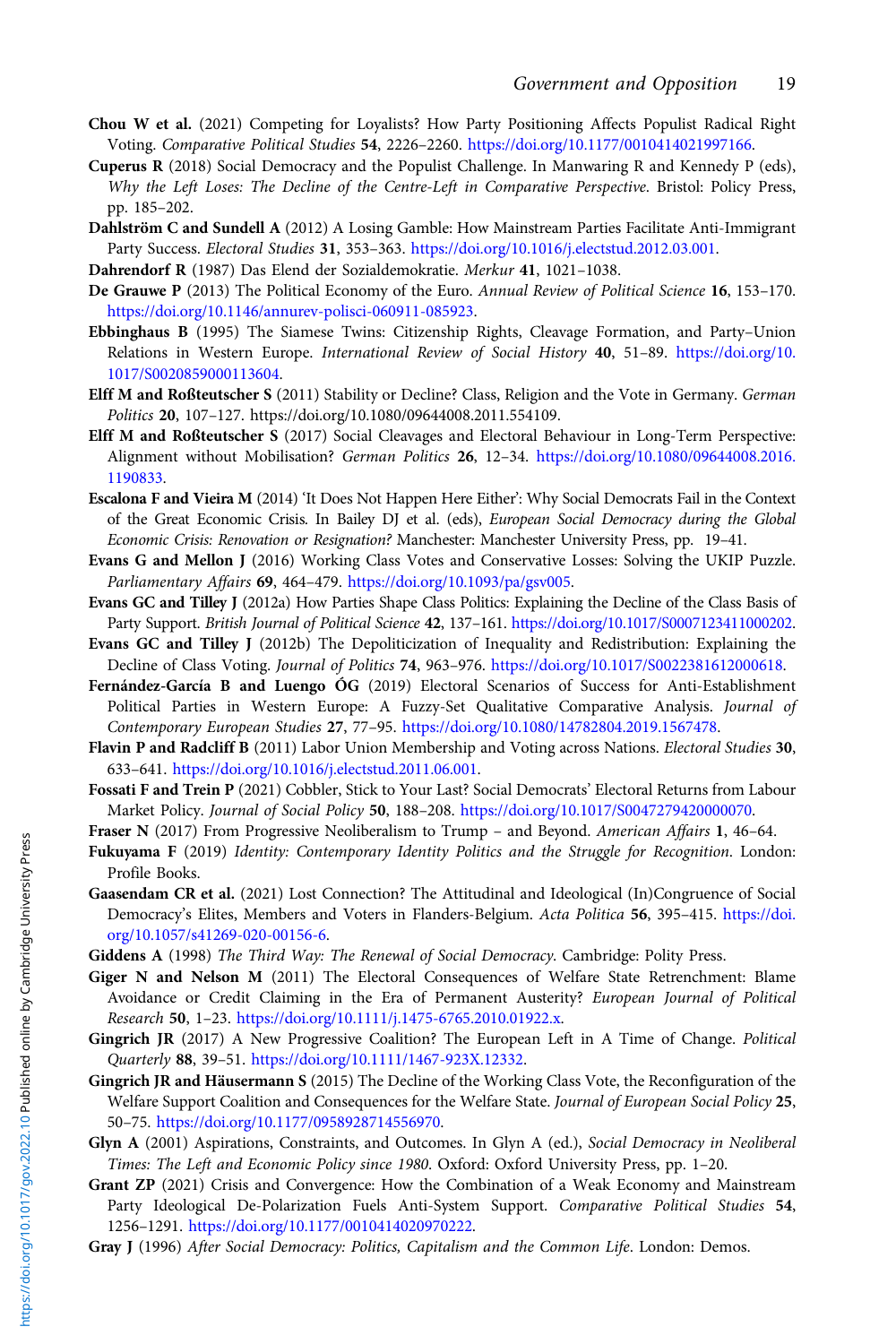- <span id="page-18-0"></span>Chou W et al. (2021) Competing for Loyalists? How Party Positioning Affects Populist Radical Right Voting. Comparative Political Studies 54, 2226–2260. <https://doi.org/10.1177/0010414021997166>.
- Cuperus R (2018) Social Democracy and the Populist Challenge. In Manwaring R and Kennedy P (eds), Why the Left Loses: The Decline of the Centre-Left in Comparative Perspective. Bristol: Policy Press, pp. 185–202.
- Dahlström C and Sundell A (2012) A Losing Gamble: How Mainstream Parties Facilitate Anti-Immigrant Party Success. Electoral Studies 31, 353–363. <https://doi.org/10.1016/j.electstud.2012.03.001>.
- Dahrendorf R (1987) Das Elend der Sozialdemokratie. Merkur 41, 1021–1038.
- De Grauwe P (2013) The Political Economy of the Euro. Annual Review of Political Science 16, 153–170. [https://doi.org/10.1146/annurev-polisci-060911-085923.](https://doi.org/10.1146/annurev-polisci-060911-085923)
- Ebbinghaus B (1995) The Siamese Twins: Citizenship Rights, Cleavage Formation, and Party–Union Relations in Western Europe. International Review of Social History 40, 51–89. [https://doi.org/10.](https://doi.org/10.1017/S0020859000113604) [1017/S0020859000113604](https://doi.org/10.1017/S0020859000113604).
- Elff M and Roßteutscher S (2011) Stability or Decline? Class, Religion and the Vote in Germany. German Politics 20, 107–127. https://doi.org/10.1080/09644008.2011.554109.
- Elff M and Roßteutscher S (2017) Social Cleavages and Electoral Behaviour in Long-Term Perspective: Alignment without Mobilisation? German Politics 26, 12–34. [https://doi.org/10.1080/09644008.2016.](https://doi.org/10.1080/09644008.2016.1190833) [1190833](https://doi.org/10.1080/09644008.2016.1190833).
- Escalona F and Vieira M (2014) 'It Does Not Happen Here Either': Why Social Democrats Fail in the Context of the Great Economic Crisis. In Bailey DJ et al. (eds), European Social Democracy during the Global Economic Crisis: Renovation or Resignation? Manchester: Manchester University Press, pp. 19–41.
- Evans G and Mellon J (2016) Working Class Votes and Conservative Losses: Solving the UKIP Puzzle. Parliamentary Affairs 69, 464–479. <https://doi.org/10.1093/pa/gsv005>.
- Evans GC and Tilley J (2012a) How Parties Shape Class Politics: Explaining the Decline of the Class Basis of Party Support. British Journal of Political Science 42, 137-161. [https://doi.org/10.1017/S0007123411000202.](https://doi.org/10.1017/S0007123411000202)
- Evans GC and Tilley J (2012b) The Depoliticization of Inequality and Redistribution: Explaining the Decline of Class Voting. Journal of Politics 74, 963–976. <https://doi.org/10.1017/S0022381612000618>.
- Fernández-García B and Luengo ÓG (2019) Electoral Scenarios of Success for Anti-Establishment Political Parties in Western Europe: A Fuzzy-Set Qualitative Comparative Analysis. Journal of Contemporary European Studies 27, 77–95. [https://doi.org/10.1080/14782804.2019.1567478.](https://doi.org/10.1080/14782804.2019.1567478)
- Flavin P and Radcliff B (2011) Labor Union Membership and Voting across Nations. Electoral Studies 30, 633–641. <https://doi.org/10.1016/j.electstud.2011.06.001>.
- Fossati F and Trein P (2021) Cobbler, Stick to Your Last? Social Democrats' Electoral Returns from Labour Market Policy. Journal of Social Policy 50, 188–208. [https://doi.org/10.1017/S0047279420000070.](https://doi.org/10.1017/S0047279420000070)
- Fraser N (2017) From Progressive Neoliberalism to Trump and Beyond. American Affairs 1, 46-64.
- Fukuyama F (2019) Identity: Contemporary Identity Politics and the Struggle for Recognition. London: Profile Books.
- Gaasendam CR et al. (2021) Lost Connection? The Attitudinal and Ideological (In)Congruence of Social Democracy's Elites, Members and Voters in Flanders-Belgium. Acta Politica 56, 395–415. [https://doi.](https://doi.org/10.1057/s41269-020-00156-6) [org/10.1057/s41269-020-00156-6.](https://doi.org/10.1057/s41269-020-00156-6)
- Giddens A (1998) The Third Way: The Renewal of Social Democracy. Cambridge: Polity Press.
- Giger N and Nelson M (2011) The Electoral Consequences of Welfare State Retrenchment: Blame Avoidance or Credit Claiming in the Era of Permanent Austerity? European Journal of Political Research 50, 1–23. [https://doi.org/10.1111/j.1475-6765.2010.01922.x.](https://doi.org/10.1111/j.1475-6765.2010.01922.x)
- Gingrich JR (2017) A New Progressive Coalition? The European Left in A Time of Change. Political Quarterly 88, 39–51. [https://doi.org/10.1111/1467-923X.12332.](https://doi.org/10.1111/1467-923X.12332)
- Gingrich JR and Häusermann S (2015) The Decline of the Working Class Vote, the Reconfiguration of the Welfare Support Coalition and Consequences for the Welfare State. Journal of European Social Policy 25, 50–75. [https://doi.org/10.1177/0958928714556970.](https://doi.org/10.1177/0958928714556970)
- Glyn A (2001) Aspirations, Constraints, and Outcomes. In Glyn A (ed.), Social Democracy in Neoliberal Times: The Left and Economic Policy since 1980. Oxford: Oxford University Press, pp. 1–20.
- Grant ZP (2021) Crisis and Convergence: How the Combination of a Weak Economy and Mainstream Party Ideological De-Polarization Fuels Anti-System Support. Comparative Political Studies 54, 1256–1291. <https://doi.org/10.1177/0010414020970222>.
- Gray J (1996) After Social Democracy: Politics, Capitalism and the Common Life. London: Demos.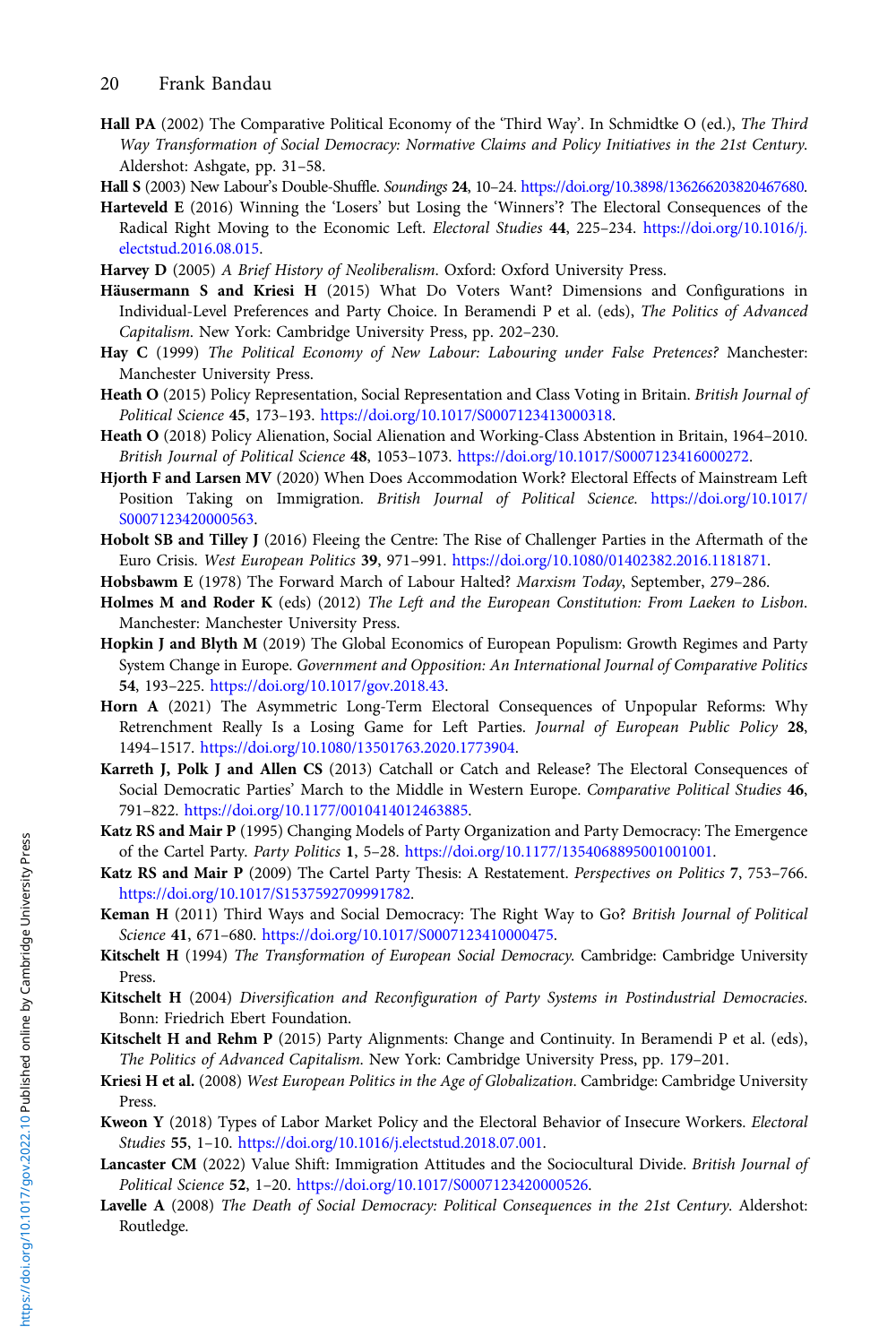- <span id="page-19-0"></span>Hall PA (2002) The Comparative Political Economy of the 'Third Way'. In Schmidtke O (ed.), The Third Way Transformation of Social Democracy: Normative Claims and Policy Initiatives in the 21st Century. Aldershot: Ashgate, pp. 31–58.
- Hall S (2003) New Labour's Double-Shuffle. Soundings 24, 10–24. [https://doi.org/10.3898/136266203820467680.](https://doi.org/10.3898/136266203820467680)
- Harteveld E (2016) Winning the 'Losers' but Losing the 'Winners'? The Electoral Consequences of the Radical Right Moving to the Economic Left. Electoral Studies 44, 225–234. [https://doi.org/10.1016/j.](https://doi.org/10.1016/j.electstud.2016.08.015) [electstud.2016.08.015.](https://doi.org/10.1016/j.electstud.2016.08.015)
- Harvey D (2005) A Brief History of Neoliberalism. Oxford: Oxford University Press.
- Häusermann S and Kriesi H (2015) What Do Voters Want? Dimensions and Configurations in Individual-Level Preferences and Party Choice. In Beramendi P et al. (eds), The Politics of Advanced Capitalism. New York: Cambridge University Press, pp. 202–230.
- Hay C (1999) The Political Economy of New Labour: Labouring under False Pretences? Manchester: Manchester University Press.
- Heath O (2015) Policy Representation, Social Representation and Class Voting in Britain. British Journal of Political Science 45, 173–193. <https://doi.org/10.1017/S0007123413000318>.
- Heath O (2018) Policy Alienation, Social Alienation and Working-Class Abstention in Britain, 1964–2010. British Journal of Political Science 48, 1053–1073. <https://doi.org/10.1017/S0007123416000272>.
- Hjorth F and Larsen MV (2020) When Does Accommodation Work? Electoral Effects of Mainstream Left Position Taking on Immigration. British Journal of Political Science. [https://doi.org/10.1017/](https://doi.org/10.1017/S0007123420000563) [S0007123420000563](https://doi.org/10.1017/S0007123420000563).
- Hobolt SB and Tilley J (2016) Fleeing the Centre: The Rise of Challenger Parties in the Aftermath of the Euro Crisis. West European Politics 39, 971–991. [https://doi.org/10.1080/01402382.2016.1181871.](https://doi.org/10.1080/01402382.2016.1181871)
- Hobsbawm E (1978) The Forward March of Labour Halted? Marxism Today, September, 279–286.
- Holmes M and Roder K (eds) (2012) The Left and the European Constitution: From Laeken to Lisbon. Manchester: Manchester University Press.
- Hopkin J and Blyth M (2019) The Global Economics of European Populism: Growth Regimes and Party System Change in Europe. Government and Opposition: An International Journal of Comparative Politics 54, 193–225. [https://doi.org/10.1017/gov.2018.43.](https://doi.org/10.1017/gov.2018.43)
- Horn A (2021) The Asymmetric Long-Term Electoral Consequences of Unpopular Reforms: Why Retrenchment Really Is a Losing Game for Left Parties. Journal of European Public Policy 28, 1494–1517. [https://doi.org/10.1080/13501763.2020.1773904.](https://doi.org/10.1080/13501763.2020.1773904)
- Karreth J, Polk J and Allen CS (2013) Catchall or Catch and Release? The Electoral Consequences of Social Democratic Parties' March to the Middle in Western Europe. Comparative Political Studies 46, 791–822. <https://doi.org/10.1177/0010414012463885>.
- Katz RS and Mair P (1995) Changing Models of Party Organization and Party Democracy: The Emergence of the Cartel Party. Party Politics 1, 5–28. [https://doi.org/10.1177/1354068895001001001.](https://doi.org/10.1177/1354068895001001001)
- Katz RS and Mair P (2009) The Cartel Party Thesis: A Restatement. Perspectives on Politics 7, 753–766. <https://doi.org/10.1017/S1537592709991782>.
- Keman H (2011) Third Ways and Social Democracy: The Right Way to Go? British Journal of Political Science 41, 671–680. <https://doi.org/10.1017/S0007123410000475>.
- Kitschelt H (1994) The Transformation of European Social Democracy. Cambridge: Cambridge University Press.
- Kitschelt H (2004) Diversification and Reconfiguration of Party Systems in Postindustrial Democracies. Bonn: Friedrich Ebert Foundation.
- Kitschelt H and Rehm P (2015) Party Alignments: Change and Continuity. In Beramendi P et al. (eds), The Politics of Advanced Capitalism. New York: Cambridge University Press, pp. 179–201.
- Kriesi H et al. (2008) West European Politics in the Age of Globalization. Cambridge: Cambridge University Press.
- Kweon Y (2018) Types of Labor Market Policy and the Electoral Behavior of Insecure Workers. Electoral Studies 55, 1–10. [https://doi.org/10.1016/j.electstud.2018.07.001.](https://doi.org/10.1016/j.electstud.2018.07.001)
- Lancaster CM (2022) Value Shift: Immigration Attitudes and the Sociocultural Divide. British Journal of Political Science 52, 1–20. [https://doi.org/10.1017/S0007123420000526.](https://doi.org/10.1017/S0007123420000526)
- Lavelle A (2008) The Death of Social Democracy: Political Consequences in the 21st Century. Aldershot: Routledge.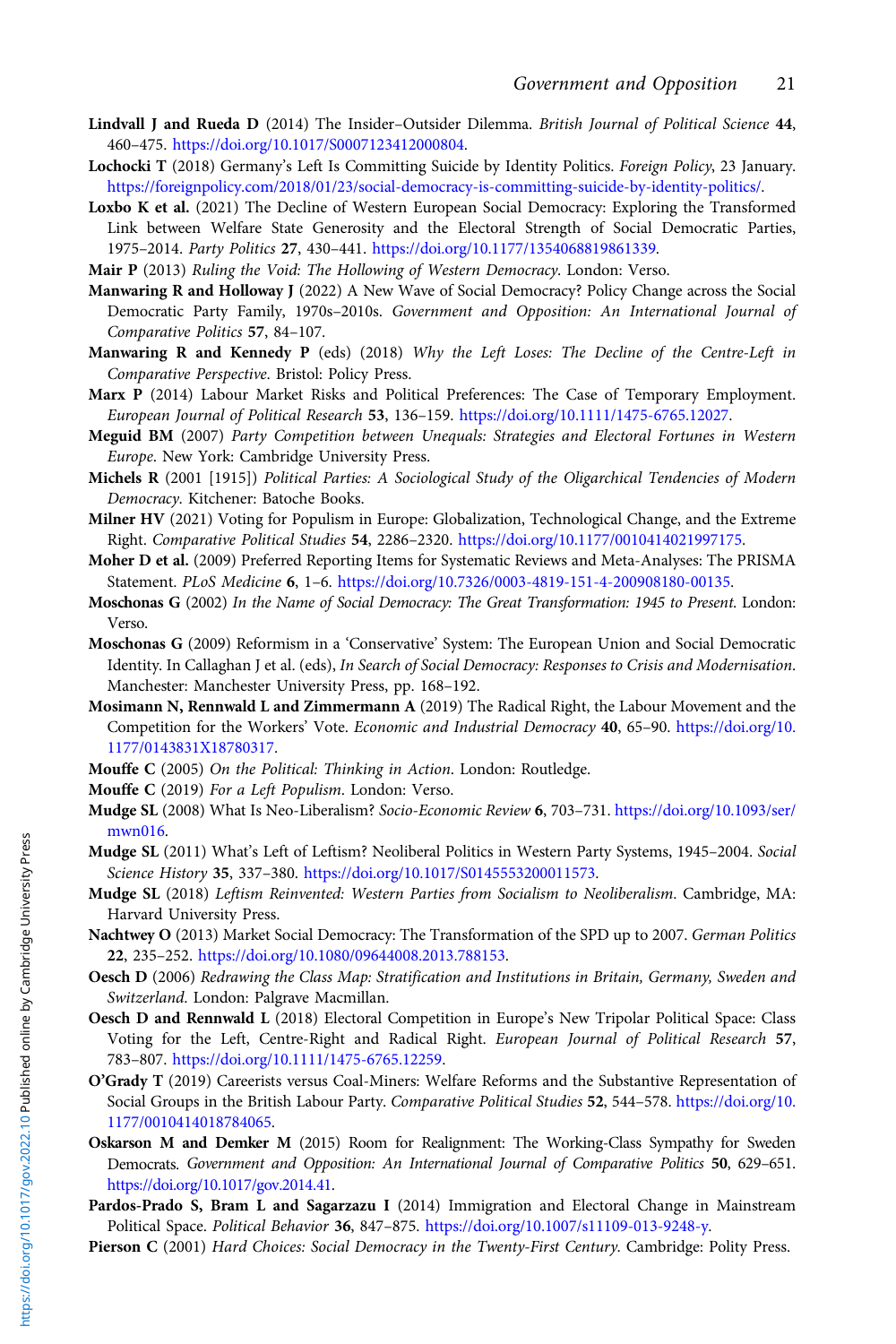- <span id="page-20-0"></span>Lindvall J and Rueda D (2014) The Insider-Outsider Dilemma. British Journal of Political Science 44, 460–475. <https://doi.org/10.1017/S0007123412000804>.
- Lochocki T (2018) Germany's Left Is Committing Suicide by Identity Politics. Foreign Policy, 23 January. <https://foreignpolicy.com/2018/01/23/social-democracy-is-committing-suicide-by-identity-politics/>.
- Loxbo K et al. (2021) The Decline of Western European Social Democracy: Exploring the Transformed Link between Welfare State Generosity and the Electoral Strength of Social Democratic Parties, 1975–2014. Party Politics 27, 430–441. <https://doi.org/10.1177/1354068819861339>.
- Mair P (2013) Ruling the Void: The Hollowing of Western Democracy. London: Verso.
- Manwaring R and Holloway J (2022) A New Wave of Social Democracy? Policy Change across the Social Democratic Party Family, 1970s–2010s. Government and Opposition: An International Journal of Comparative Politics 57, 84–107.
- Manwaring R and Kennedy P (eds) (2018) Why the Left Loses: The Decline of the Centre-Left in Comparative Perspective. Bristol: Policy Press.
- Marx P (2014) Labour Market Risks and Political Preferences: The Case of Temporary Employment. European Journal of Political Research 53, 136–159. <https://doi.org/10.1111/1475-6765.12027>.
- Meguid BM (2007) Party Competition between Unequals: Strategies and Electoral Fortunes in Western Europe. New York: Cambridge University Press.
- Michels R (2001 [1915]) Political Parties: A Sociological Study of the Oligarchical Tendencies of Modern Democracy. Kitchener: Batoche Books.
- Milner HV (2021) Voting for Populism in Europe: Globalization, Technological Change, and the Extreme Right. Comparative Political Studies 54, 2286–2320. [https://doi.org/10.1177/0010414021997175.](https://doi.org/10.1177/0010414021997175)
- Moher D et al. (2009) Preferred Reporting Items for Systematic Reviews and Meta-Analyses: The PRISMA Statement. PLoS Medicine 6, 1–6. <https://doi.org/10.7326/0003-4819-151-4-200908180-00135>.
- Moschonas G (2002) In the Name of Social Democracy: The Great Transformation: 1945 to Present. London: Verso.
- Moschonas G (2009) Reformism in a 'Conservative' System: The European Union and Social Democratic Identity. In Callaghan J et al. (eds), In Search of Social Democracy: Responses to Crisis and Modernisation. Manchester: Manchester University Press, pp. 168–192.
- Mosimann N, Rennwald L and Zimmermann A (2019) The Radical Right, the Labour Movement and the Competition for the Workers' Vote. Economic and Industrial Democracy 40, 65–90. [https://doi.org/10.](https://doi.org/10.1177/0143831X18780317) [1177/0143831X18780317.](https://doi.org/10.1177/0143831X18780317)
- Mouffe C (2005) On the Political: Thinking in Action. London: Routledge.
- Mouffe C (2019) For a Left Populism. London: Verso.
- Mudge SL (2008) What Is Neo-Liberalism? Socio-Economic Review 6, 703–731. [https://doi.org/10.1093/ser/](https://doi.org/10.1093/ser/mwn016) [mwn016](https://doi.org/10.1093/ser/mwn016).
- Mudge SL (2011) What's Left of Leftism? Neoliberal Politics in Western Party Systems, 1945–2004. Social Science History 35, 337–380. <https://doi.org/10.1017/S0145553200011573>.
- Mudge SL (2018) Leftism Reinvented: Western Parties from Socialism to Neoliberalism. Cambridge, MA: Harvard University Press.
- Nachtwey O (2013) Market Social Democracy: The Transformation of the SPD up to 2007. German Politics 22, 235–252. [https://doi.org/10.1080/09644008.2013.788153.](https://doi.org/10.1080/09644008.2013.788153)
- Oesch D (2006) Redrawing the Class Map: Stratification and Institutions in Britain, Germany, Sweden and Switzerland. London: Palgrave Macmillan.
- Oesch D and Rennwald L (2018) Electoral Competition in Europe's New Tripolar Political Space: Class Voting for the Left, Centre-Right and Radical Right. European Journal of Political Research 57, 783–807. [https://doi.org/10.1111/1475-6765.12259.](https://doi.org/10.1111/1475-6765.12259)
- O'Grady T (2019) Careerists versus Coal-Miners: Welfare Reforms and the Substantive Representation of Social Groups in the British Labour Party. Comparative Political Studies 52, 544–578. [https://doi.org/10.](https://doi.org/10.1177/0010414018784065) [1177/0010414018784065.](https://doi.org/10.1177/0010414018784065)
- Oskarson M and Demker M (2015) Room for Realignment: The Working-Class Sympathy for Sweden Democrats. Government and Opposition: An International Journal of Comparative Politics 50, 629-651. <https://doi.org/10.1017/gov.2014.41>.
- Pardos-Prado S, Bram L and Sagarzazu I (2014) Immigration and Electoral Change in Mainstream Political Space. Political Behavior 36, 847–875. [https://doi.org/10.1007/s11109-013-9248-y.](https://doi.org/10.1007/s11109-013-9248-y)
- Pierson C (2001) Hard Choices: Social Democracy in the Twenty-First Century. Cambridge: Polity Press.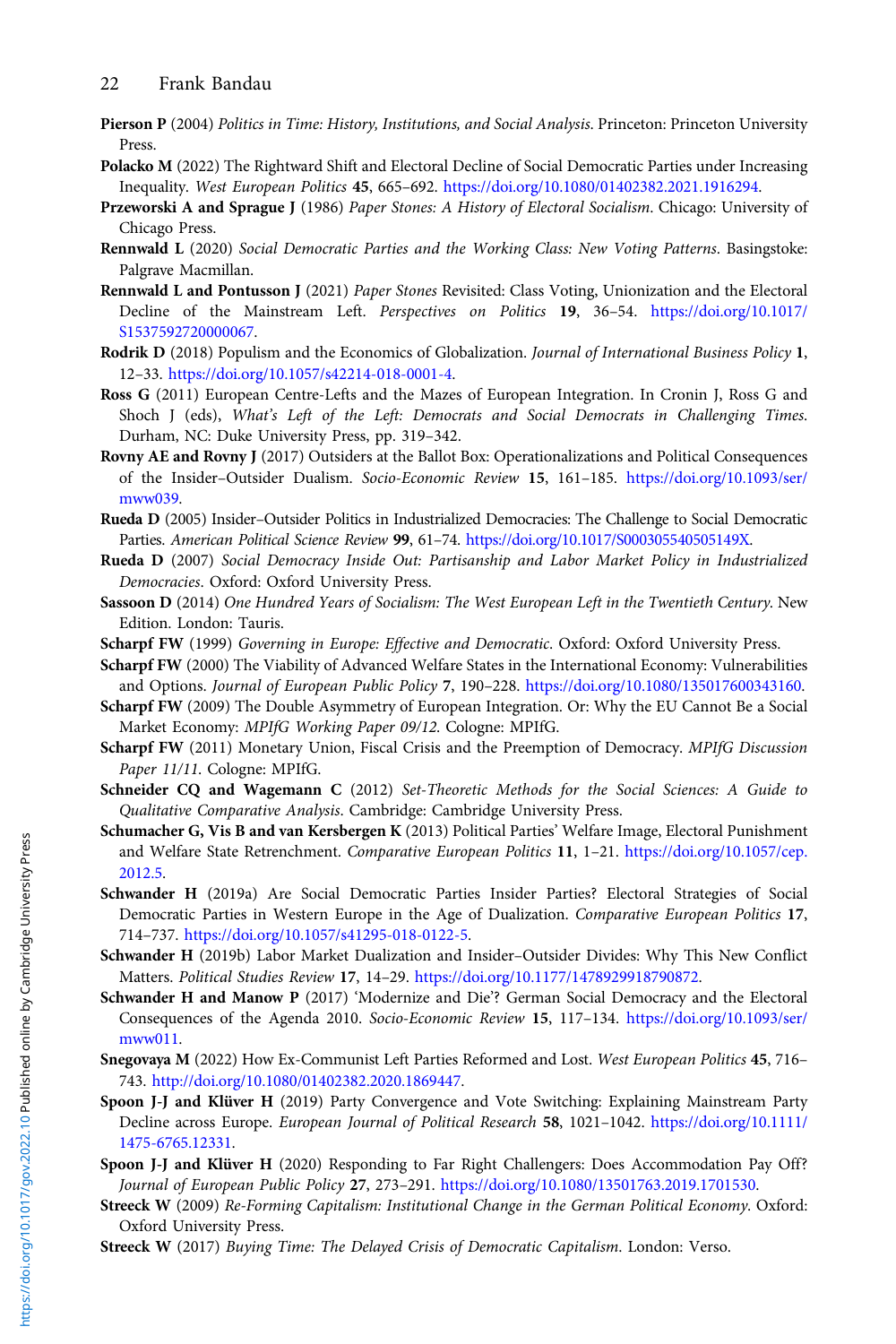- <span id="page-21-0"></span>Pierson P (2004) Politics in Time: History, Institutions, and Social Analysis. Princeton: Princeton University Press.
- Polacko M (2022) The Rightward Shift and Electoral Decline of Social Democratic Parties under Increasing Inequality. West European Politics 45, 665–692. [https://doi.org/10.1080/01402382.2021.1916294.](https://doi.org/10.1080/01402382.2021.1916294)
- Przeworski A and Sprague J (1986) Paper Stones: A History of Electoral Socialism. Chicago: University of Chicago Press.
- Rennwald L (2020) Social Democratic Parties and the Working Class: New Voting Patterns. Basingstoke: Palgrave Macmillan.
- Rennwald L and Pontusson J (2021) Paper Stones Revisited: Class Voting, Unionization and the Electoral Decline of the Mainstream Left. Perspectives on Politics 19, 36–54. [https://doi.org/10.1017/](https://doi.org/10.1017/S1537592720000067) [S1537592720000067](https://doi.org/10.1017/S1537592720000067).
- Rodrik D (2018) Populism and the Economics of Globalization. Journal of International Business Policy 1, 12–33. <https://doi.org/10.1057/s42214-018-0001-4>.
- Ross G (2011) European Centre-Lefts and the Mazes of European Integration. In Cronin J, Ross G and Shoch J (eds), What's Left of the Left: Democrats and Social Democrats in Challenging Times. Durham, NC: Duke University Press, pp. 319–342.
- Rovny AE and Rovny J (2017) Outsiders at the Ballot Box: Operationalizations and Political Consequences of the Insider–Outsider Dualism. Socio-Economic Review 15, 161–185. [https://doi.org/10.1093/ser/](https://doi.org/10.1093/ser/mww039) [mww039.](https://doi.org/10.1093/ser/mww039)
- Rueda D (2005) Insider–Outsider Politics in Industrialized Democracies: The Challenge to Social Democratic Parties. American Political Science Review 99, 61–74. <https://doi.org/10.1017/S000305540505149X>.
- Rueda D (2007) Social Democracy Inside Out: Partisanship and Labor Market Policy in Industrialized Democracies. Oxford: Oxford University Press.
- Sassoon D (2014) One Hundred Years of Socialism: The West European Left in the Twentieth Century. New Edition. London: Tauris.
- Scharpf FW (1999) Governing in Europe: Effective and Democratic. Oxford: Oxford University Press.
- Scharpf FW (2000) The Viability of Advanced Welfare States in the International Economy: Vulnerabilities and Options. Journal of European Public Policy 7, 190–228. <https://doi.org/10.1080/135017600343160>.
- Scharpf FW (2009) The Double Asymmetry of European Integration. Or: Why the EU Cannot Be a Social Market Economy: MPIfG Working Paper 09/12. Cologne: MPIfG.
- Scharpf FW (2011) Monetary Union, Fiscal Crisis and the Preemption of Democracy. MPIfG Discussion Paper 11/11. Cologne: MPIfG.
- Schneider CQ and Wagemann C (2012) Set-Theoretic Methods for the Social Sciences: A Guide to Qualitative Comparative Analysis. Cambridge: Cambridge University Press.
- Schumacher G, Vis B and van Kersbergen K (2013) Political Parties' Welfare Image, Electoral Punishment and Welfare State Retrenchment. Comparative European Politics 11, 1-21. [https://doi.org/10.1057/cep.](https://doi.org/10.1057/cep.2012.5) [2012.5](https://doi.org/10.1057/cep.2012.5).
- Schwander H (2019a) Are Social Democratic Parties Insider Parties? Electoral Strategies of Social Democratic Parties in Western Europe in the Age of Dualization. Comparative European Politics 17, 714–737. <https://doi.org/10.1057/s41295-018-0122-5>.
- Schwander H (2019b) Labor Market Dualization and Insider–Outsider Divides: Why This New Conflict Matters. Political Studies Review 17, 14–29. [https://doi.org/10.1177/1478929918790872.](https://doi.org/10.1177/1478929918790872)
- Schwander H and Manow P (2017) 'Modernize and Die'? German Social Democracy and the Electoral Consequences of the Agenda 2010. Socio-Economic Review 15, 117–134. [https://doi.org/10.1093/ser/](https://doi.org/10.1093/ser/mww011) [mww011.](https://doi.org/10.1093/ser/mww011)
- Snegovaya M (2022) How Ex-Communist Left Parties Reformed and Lost. West European Politics 45, 716– 743. [http://doi.org/10.1080/01402382.2020.1869447.](http://doi.org/10.1080/01402382.2020.1869447)
- Spoon J-J and Klüver H (2019) Party Convergence and Vote Switching: Explaining Mainstream Party Decline across Europe. European Journal of Political Research 58, 1021–1042. [https://doi.org/10.1111/](https://doi.org/10.1111/1475-6765.12331) [1475-6765.12331](https://doi.org/10.1111/1475-6765.12331).
- Spoon J-J and Klüver H (2020) Responding to Far Right Challengers: Does Accommodation Pay Off? Journal of European Public Policy 27, 273–291. <https://doi.org/10.1080/13501763.2019.1701530>.
- Streeck W (2009) Re-Forming Capitalism: Institutional Change in the German Political Economy. Oxford: Oxford University Press.
- Streeck W (2017) Buying Time: The Delayed Crisis of Democratic Capitalism. London: Verso.